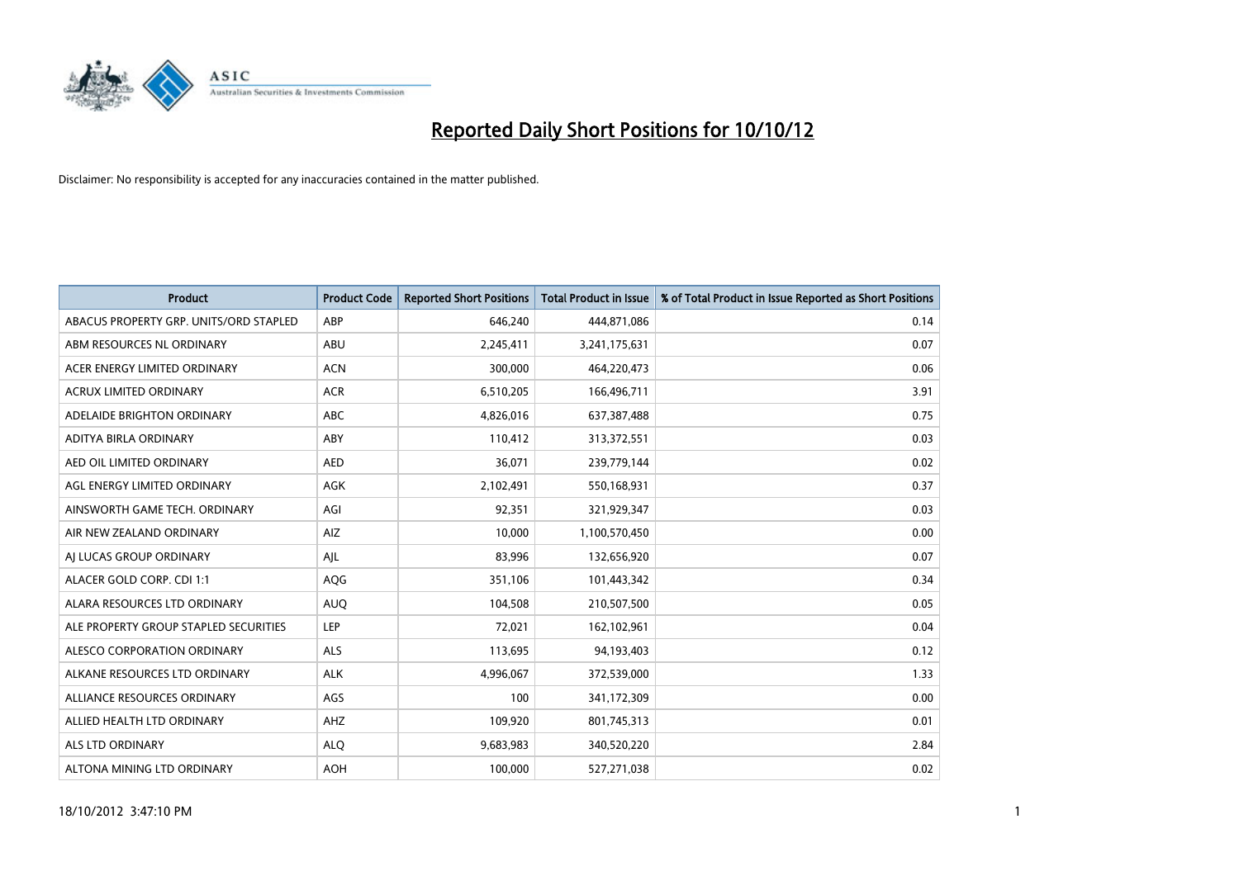

| <b>Product</b>                         | <b>Product Code</b> | <b>Reported Short Positions</b> | <b>Total Product in Issue</b> | % of Total Product in Issue Reported as Short Positions |
|----------------------------------------|---------------------|---------------------------------|-------------------------------|---------------------------------------------------------|
| ABACUS PROPERTY GRP. UNITS/ORD STAPLED | ABP                 | 646,240                         | 444,871,086                   | 0.14                                                    |
| ABM RESOURCES NL ORDINARY              | <b>ABU</b>          | 2,245,411                       | 3,241,175,631                 | 0.07                                                    |
| ACER ENERGY LIMITED ORDINARY           | <b>ACN</b>          | 300,000                         | 464,220,473                   | 0.06                                                    |
| ACRUX LIMITED ORDINARY                 | <b>ACR</b>          | 6,510,205                       | 166,496,711                   | 3.91                                                    |
| ADELAIDE BRIGHTON ORDINARY             | <b>ABC</b>          | 4,826,016                       | 637,387,488                   | 0.75                                                    |
| ADITYA BIRLA ORDINARY                  | ABY                 | 110,412                         | 313,372,551                   | 0.03                                                    |
| AED OIL LIMITED ORDINARY               | <b>AED</b>          | 36,071                          | 239,779,144                   | 0.02                                                    |
| AGL ENERGY LIMITED ORDINARY            | <b>AGK</b>          | 2,102,491                       | 550,168,931                   | 0.37                                                    |
| AINSWORTH GAME TECH. ORDINARY          | AGI                 | 92,351                          | 321,929,347                   | 0.03                                                    |
| AIR NEW ZEALAND ORDINARY               | AIZ                 | 10,000                          | 1,100,570,450                 | 0.00                                                    |
| AI LUCAS GROUP ORDINARY                | AJL                 | 83,996                          | 132,656,920                   | 0.07                                                    |
| ALACER GOLD CORP. CDI 1:1              | AQG                 | 351,106                         | 101,443,342                   | 0.34                                                    |
| ALARA RESOURCES LTD ORDINARY           | <b>AUQ</b>          | 104,508                         | 210,507,500                   | 0.05                                                    |
| ALE PROPERTY GROUP STAPLED SECURITIES  | LEP                 | 72,021                          | 162,102,961                   | 0.04                                                    |
| ALESCO CORPORATION ORDINARY            | <b>ALS</b>          | 113,695                         | 94,193,403                    | 0.12                                                    |
| ALKANE RESOURCES LTD ORDINARY          | <b>ALK</b>          | 4,996,067                       | 372,539,000                   | 1.33                                                    |
| ALLIANCE RESOURCES ORDINARY            | AGS                 | 100                             | 341,172,309                   | 0.00                                                    |
| ALLIED HEALTH LTD ORDINARY             | AHZ                 | 109,920                         | 801,745,313                   | 0.01                                                    |
| <b>ALS LTD ORDINARY</b>                | <b>ALQ</b>          | 9,683,983                       | 340,520,220                   | 2.84                                                    |
| ALTONA MINING LTD ORDINARY             | <b>AOH</b>          | 100.000                         | 527,271,038                   | 0.02                                                    |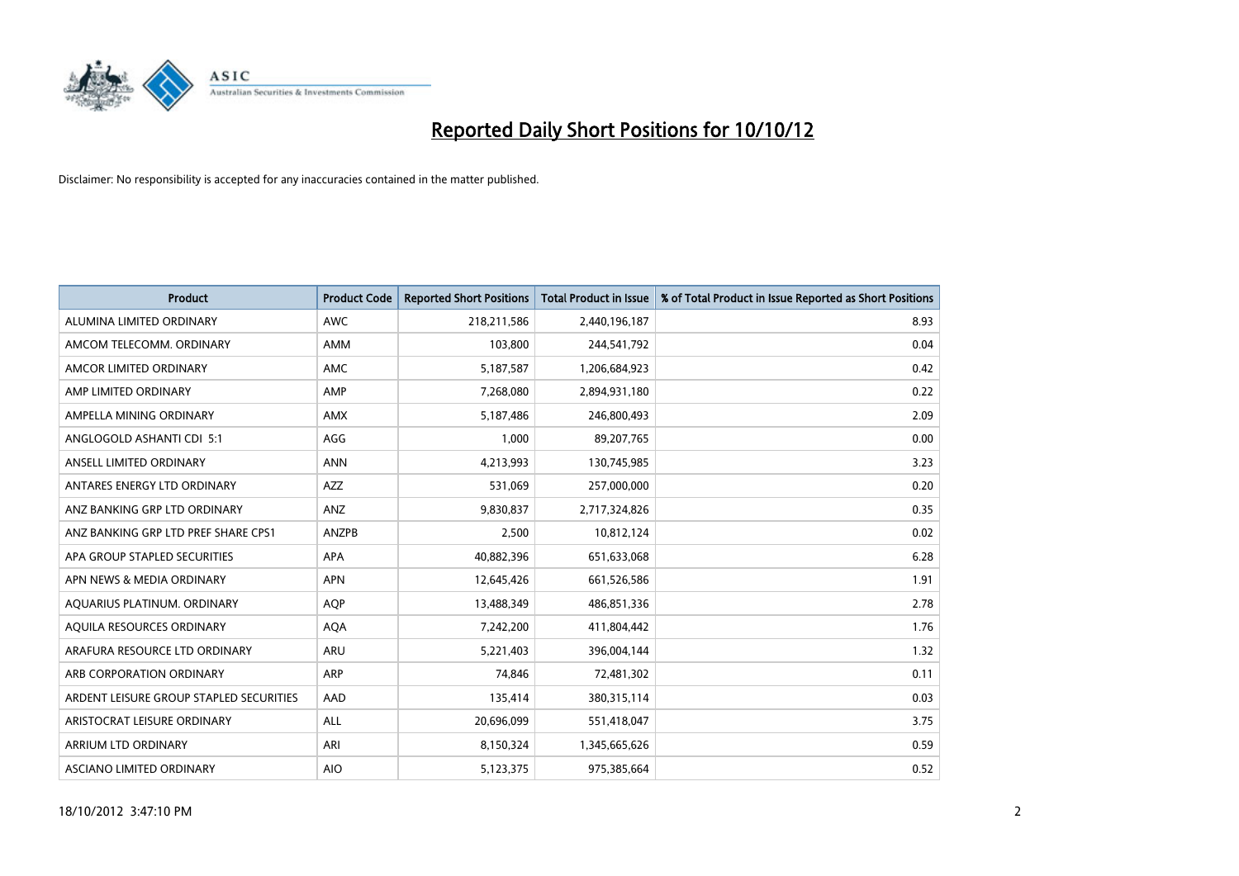

| <b>Product</b>                          | <b>Product Code</b> | <b>Reported Short Positions</b> | Total Product in Issue | % of Total Product in Issue Reported as Short Positions |
|-----------------------------------------|---------------------|---------------------------------|------------------------|---------------------------------------------------------|
| ALUMINA LIMITED ORDINARY                | <b>AWC</b>          | 218,211,586                     | 2,440,196,187          | 8.93                                                    |
| AMCOM TELECOMM. ORDINARY                | <b>AMM</b>          | 103,800                         | 244,541,792            | 0.04                                                    |
| AMCOR LIMITED ORDINARY                  | <b>AMC</b>          | 5,187,587                       | 1,206,684,923          | 0.42                                                    |
| AMP LIMITED ORDINARY                    | AMP                 | 7,268,080                       | 2,894,931,180          | 0.22                                                    |
| AMPELLA MINING ORDINARY                 | <b>AMX</b>          | 5,187,486                       | 246,800,493            | 2.09                                                    |
| ANGLOGOLD ASHANTI CDI 5:1               | AGG                 | 1,000                           | 89,207,765             | 0.00                                                    |
| ANSELL LIMITED ORDINARY                 | <b>ANN</b>          | 4,213,993                       | 130,745,985            | 3.23                                                    |
| ANTARES ENERGY LTD ORDINARY             | AZZ                 | 531,069                         | 257,000,000            | 0.20                                                    |
| ANZ BANKING GRP LTD ORDINARY            | ANZ                 | 9,830,837                       | 2,717,324,826          | 0.35                                                    |
| ANZ BANKING GRP LTD PREF SHARE CPS1     | ANZPB               | 2,500                           | 10,812,124             | 0.02                                                    |
| APA GROUP STAPLED SECURITIES            | <b>APA</b>          | 40,882,396                      | 651,633,068            | 6.28                                                    |
| APN NEWS & MEDIA ORDINARY               | <b>APN</b>          | 12,645,426                      | 661,526,586            | 1.91                                                    |
| AQUARIUS PLATINUM. ORDINARY             | <b>AOP</b>          | 13,488,349                      | 486,851,336            | 2.78                                                    |
| AQUILA RESOURCES ORDINARY               | <b>AQA</b>          | 7,242,200                       | 411,804,442            | 1.76                                                    |
| ARAFURA RESOURCE LTD ORDINARY           | <b>ARU</b>          | 5,221,403                       | 396,004,144            | 1.32                                                    |
| ARB CORPORATION ORDINARY                | <b>ARP</b>          | 74,846                          | 72,481,302             | 0.11                                                    |
| ARDENT LEISURE GROUP STAPLED SECURITIES | AAD                 | 135,414                         | 380, 315, 114          | 0.03                                                    |
| ARISTOCRAT LEISURE ORDINARY             | <b>ALL</b>          | 20,696,099                      | 551,418,047            | 3.75                                                    |
| <b>ARRIUM LTD ORDINARY</b>              | ARI                 | 8,150,324                       | 1,345,665,626          | 0.59                                                    |
| ASCIANO LIMITED ORDINARY                | <b>AIO</b>          | 5,123,375                       | 975,385,664            | 0.52                                                    |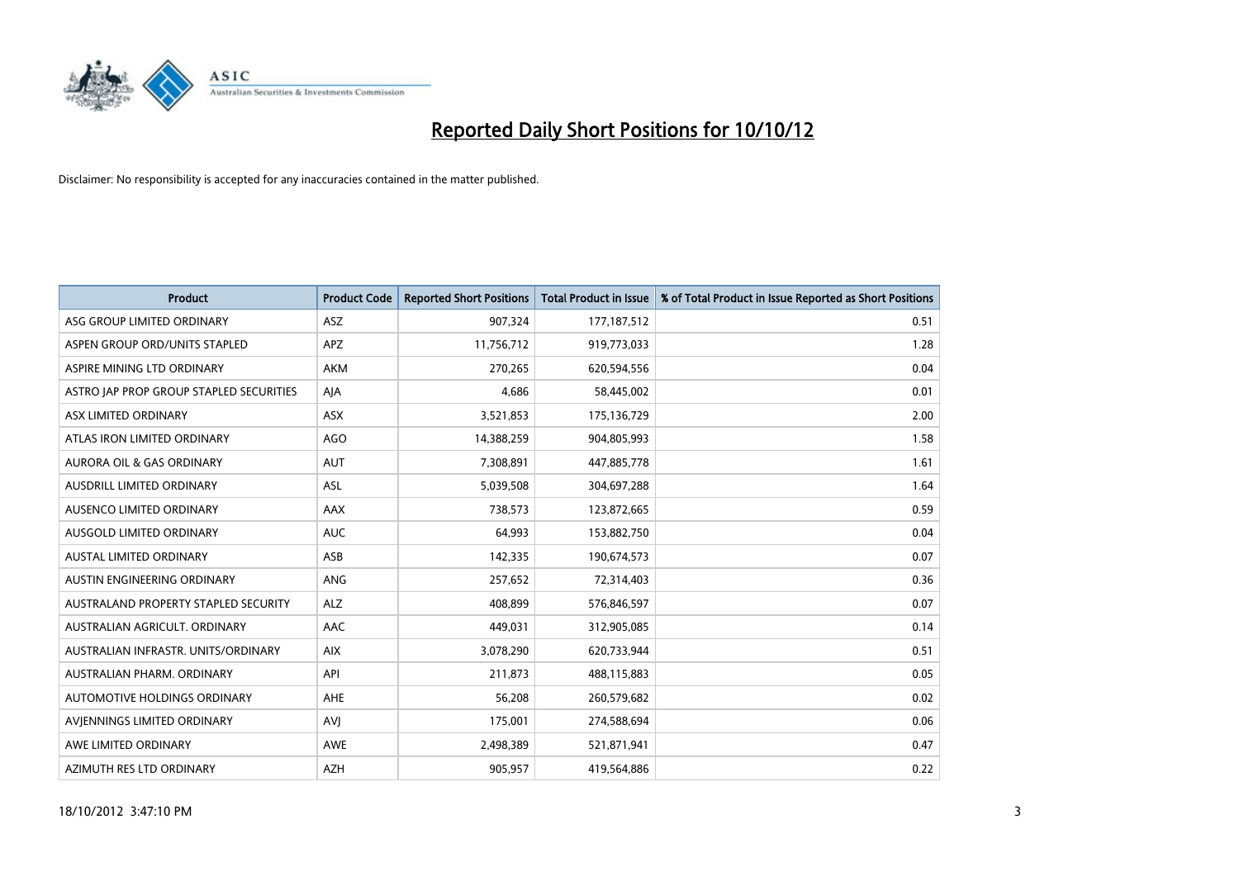

| <b>Product</b>                          | <b>Product Code</b> | <b>Reported Short Positions</b> | <b>Total Product in Issue</b> | % of Total Product in Issue Reported as Short Positions |
|-----------------------------------------|---------------------|---------------------------------|-------------------------------|---------------------------------------------------------|
| ASG GROUP LIMITED ORDINARY              | <b>ASZ</b>          | 907,324                         | 177, 187, 512                 | 0.51                                                    |
| ASPEN GROUP ORD/UNITS STAPLED           | APZ                 | 11,756,712                      | 919,773,033                   | 1.28                                                    |
| ASPIRE MINING LTD ORDINARY              | <b>AKM</b>          | 270,265                         | 620,594,556                   | 0.04                                                    |
| ASTRO JAP PROP GROUP STAPLED SECURITIES | AJA                 | 4,686                           | 58,445,002                    | 0.01                                                    |
| ASX LIMITED ORDINARY                    | <b>ASX</b>          | 3,521,853                       | 175,136,729                   | 2.00                                                    |
| ATLAS IRON LIMITED ORDINARY             | AGO                 | 14,388,259                      | 904,805,993                   | 1.58                                                    |
| <b>AURORA OIL &amp; GAS ORDINARY</b>    | <b>AUT</b>          | 7,308,891                       | 447,885,778                   | 1.61                                                    |
| <b>AUSDRILL LIMITED ORDINARY</b>        | <b>ASL</b>          | 5,039,508                       | 304,697,288                   | 1.64                                                    |
| AUSENCO LIMITED ORDINARY                | AAX                 | 738,573                         | 123,872,665                   | 0.59                                                    |
| AUSGOLD LIMITED ORDINARY                | <b>AUC</b>          | 64,993                          | 153,882,750                   | 0.04                                                    |
| <b>AUSTAL LIMITED ORDINARY</b>          | ASB                 | 142,335                         | 190,674,573                   | 0.07                                                    |
| <b>AUSTIN ENGINEERING ORDINARY</b>      | <b>ANG</b>          | 257,652                         | 72,314,403                    | 0.36                                                    |
| AUSTRALAND PROPERTY STAPLED SECURITY    | <b>ALZ</b>          | 408,899                         | 576,846,597                   | 0.07                                                    |
| AUSTRALIAN AGRICULT, ORDINARY           | AAC                 | 449,031                         | 312,905,085                   | 0.14                                                    |
| AUSTRALIAN INFRASTR, UNITS/ORDINARY     | <b>AIX</b>          | 3,078,290                       | 620,733,944                   | 0.51                                                    |
| AUSTRALIAN PHARM. ORDINARY              | API                 | 211,873                         | 488,115,883                   | 0.05                                                    |
| AUTOMOTIVE HOLDINGS ORDINARY            | AHE                 | 56,208                          | 260,579,682                   | 0.02                                                    |
| AVJENNINGS LIMITED ORDINARY             | <b>AVJ</b>          | 175,001                         | 274,588,694                   | 0.06                                                    |
| AWE LIMITED ORDINARY                    | <b>AWE</b>          | 2,498,389                       | 521,871,941                   | 0.47                                                    |
| AZIMUTH RES LTD ORDINARY                | <b>AZH</b>          | 905.957                         | 419,564,886                   | 0.22                                                    |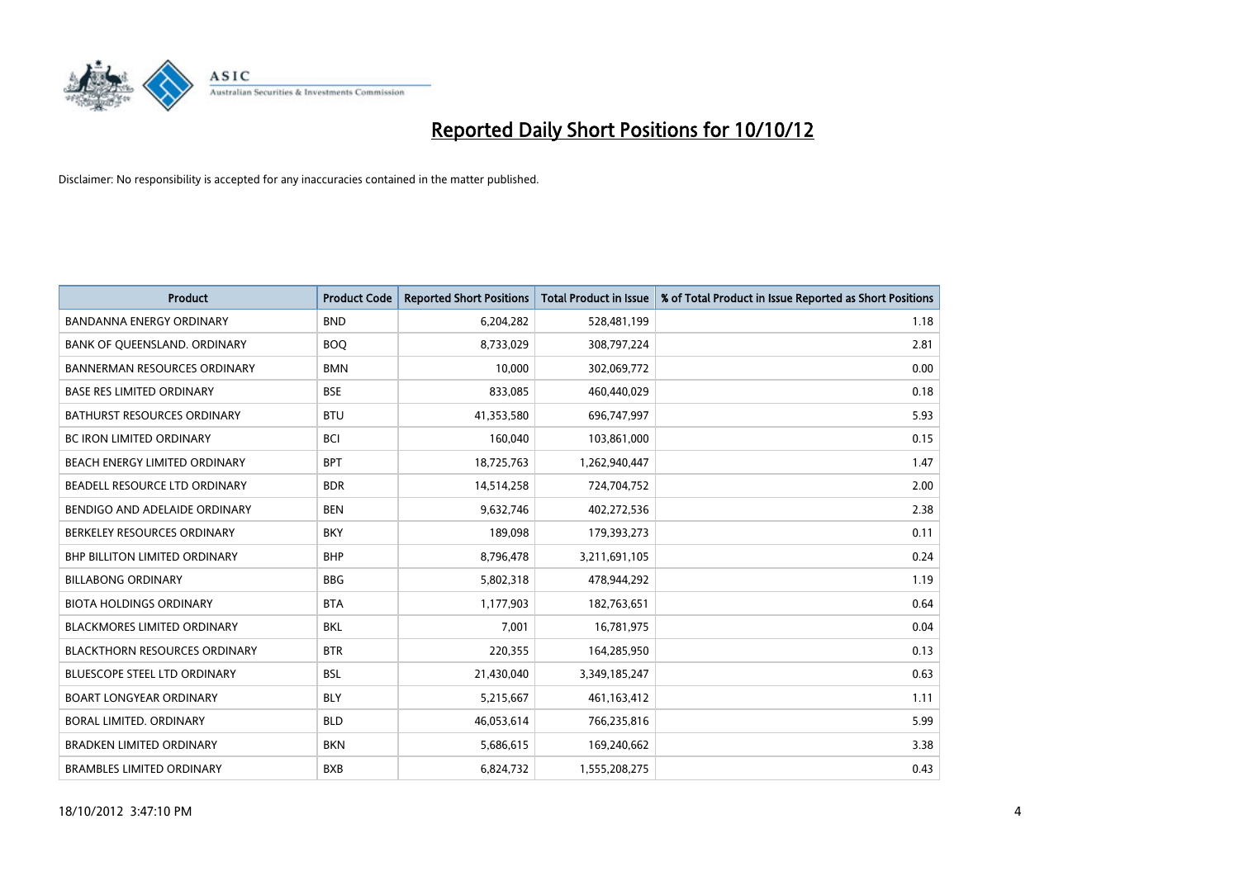

| <b>Product</b>                       | <b>Product Code</b> | <b>Reported Short Positions</b> | <b>Total Product in Issue</b> | % of Total Product in Issue Reported as Short Positions |
|--------------------------------------|---------------------|---------------------------------|-------------------------------|---------------------------------------------------------|
| <b>BANDANNA ENERGY ORDINARY</b>      | <b>BND</b>          | 6,204,282                       | 528,481,199                   | 1.18                                                    |
| BANK OF QUEENSLAND. ORDINARY         | <b>BOQ</b>          | 8,733,029                       | 308,797,224                   | 2.81                                                    |
| <b>BANNERMAN RESOURCES ORDINARY</b>  | <b>BMN</b>          | 10,000                          | 302,069,772                   | 0.00                                                    |
| <b>BASE RES LIMITED ORDINARY</b>     | <b>BSE</b>          | 833,085                         | 460,440,029                   | 0.18                                                    |
| <b>BATHURST RESOURCES ORDINARY</b>   | <b>BTU</b>          | 41,353,580                      | 696,747,997                   | 5.93                                                    |
| <b>BC IRON LIMITED ORDINARY</b>      | <b>BCI</b>          | 160,040                         | 103,861,000                   | 0.15                                                    |
| <b>BEACH ENERGY LIMITED ORDINARY</b> | <b>BPT</b>          | 18,725,763                      | 1,262,940,447                 | 1.47                                                    |
| BEADELL RESOURCE LTD ORDINARY        | <b>BDR</b>          | 14,514,258                      | 724,704,752                   | 2.00                                                    |
| BENDIGO AND ADELAIDE ORDINARY        | <b>BEN</b>          | 9,632,746                       | 402,272,536                   | 2.38                                                    |
| BERKELEY RESOURCES ORDINARY          | <b>BKY</b>          | 189,098                         | 179,393,273                   | 0.11                                                    |
| <b>BHP BILLITON LIMITED ORDINARY</b> | <b>BHP</b>          | 8,796,478                       | 3,211,691,105                 | 0.24                                                    |
| <b>BILLABONG ORDINARY</b>            | <b>BBG</b>          | 5,802,318                       | 478,944,292                   | 1.19                                                    |
| <b>BIOTA HOLDINGS ORDINARY</b>       | <b>BTA</b>          | 1,177,903                       | 182,763,651                   | 0.64                                                    |
| <b>BLACKMORES LIMITED ORDINARY</b>   | <b>BKL</b>          | 7,001                           | 16,781,975                    | 0.04                                                    |
| <b>BLACKTHORN RESOURCES ORDINARY</b> | <b>BTR</b>          | 220,355                         | 164,285,950                   | 0.13                                                    |
| BLUESCOPE STEEL LTD ORDINARY         | <b>BSL</b>          | 21,430,040                      | 3,349,185,247                 | 0.63                                                    |
| <b>BOART LONGYEAR ORDINARY</b>       | <b>BLY</b>          | 5,215,667                       | 461,163,412                   | 1.11                                                    |
| BORAL LIMITED. ORDINARY              | <b>BLD</b>          | 46,053,614                      | 766,235,816                   | 5.99                                                    |
| <b>BRADKEN LIMITED ORDINARY</b>      | <b>BKN</b>          | 5,686,615                       | 169,240,662                   | 3.38                                                    |
| <b>BRAMBLES LIMITED ORDINARY</b>     | <b>BXB</b>          | 6,824,732                       | 1,555,208,275                 | 0.43                                                    |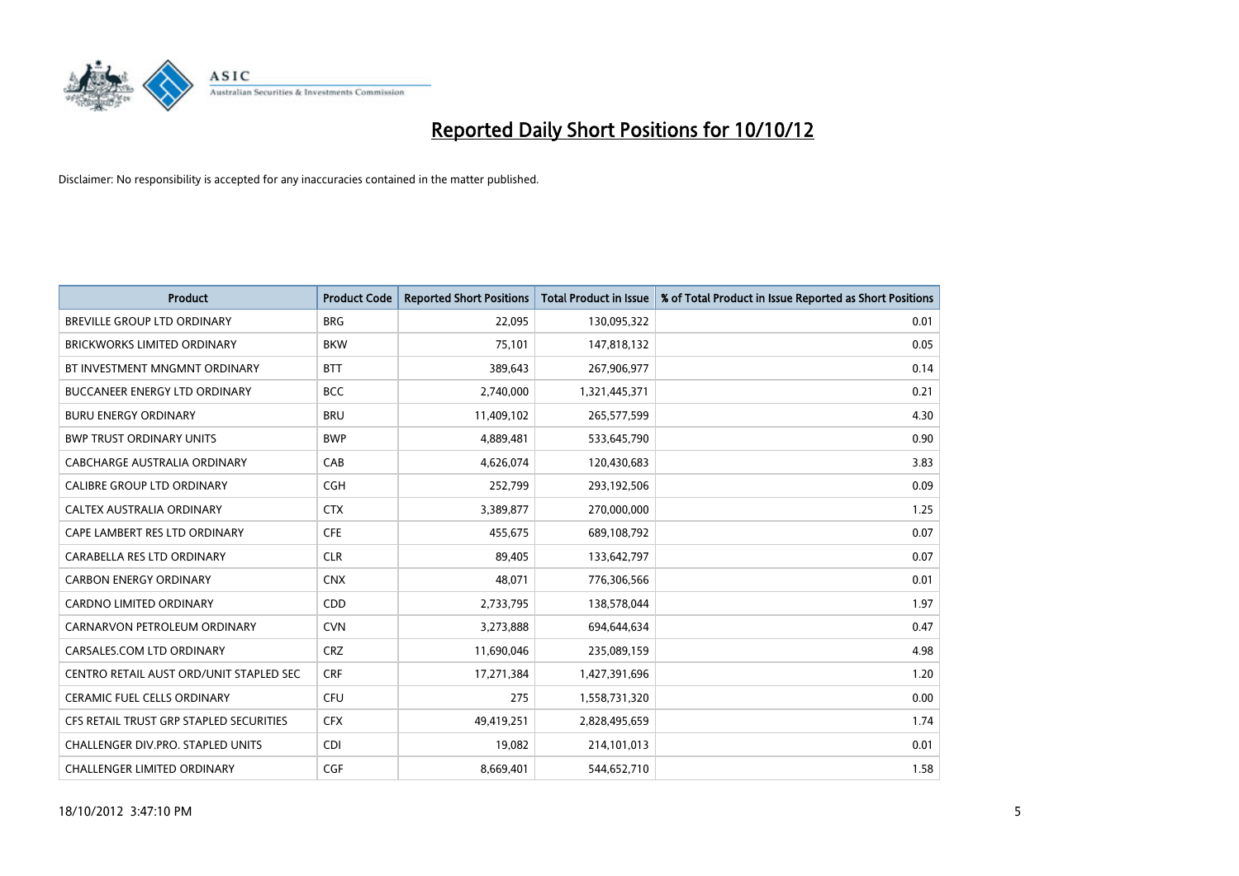

| <b>Product</b>                          | <b>Product Code</b> | <b>Reported Short Positions</b> | Total Product in Issue | % of Total Product in Issue Reported as Short Positions |
|-----------------------------------------|---------------------|---------------------------------|------------------------|---------------------------------------------------------|
| <b>BREVILLE GROUP LTD ORDINARY</b>      | <b>BRG</b>          | 22,095                          | 130,095,322            | 0.01                                                    |
| BRICKWORKS LIMITED ORDINARY             | <b>BKW</b>          | 75,101                          | 147,818,132            | 0.05                                                    |
| BT INVESTMENT MNGMNT ORDINARY           | <b>BTT</b>          | 389,643                         | 267,906,977            | 0.14                                                    |
| BUCCANEER ENERGY LTD ORDINARY           | <b>BCC</b>          | 2,740,000                       | 1,321,445,371          | 0.21                                                    |
| <b>BURU ENERGY ORDINARY</b>             | <b>BRU</b>          | 11,409,102                      | 265,577,599            | 4.30                                                    |
| <b>BWP TRUST ORDINARY UNITS</b>         | <b>BWP</b>          | 4,889,481                       | 533,645,790            | 0.90                                                    |
| CABCHARGE AUSTRALIA ORDINARY            | CAB                 | 4,626,074                       | 120,430,683            | 3.83                                                    |
| <b>CALIBRE GROUP LTD ORDINARY</b>       | <b>CGH</b>          | 252,799                         | 293,192,506            | 0.09                                                    |
| <b>CALTEX AUSTRALIA ORDINARY</b>        | <b>CTX</b>          | 3,389,877                       | 270,000,000            | 1.25                                                    |
| CAPE LAMBERT RES LTD ORDINARY           | <b>CFE</b>          | 455,675                         | 689,108,792            | 0.07                                                    |
| CARABELLA RES LTD ORDINARY              | <b>CLR</b>          | 89,405                          | 133,642,797            | 0.07                                                    |
| <b>CARBON ENERGY ORDINARY</b>           | <b>CNX</b>          | 48,071                          | 776,306,566            | 0.01                                                    |
| <b>CARDNO LIMITED ORDINARY</b>          | <b>CDD</b>          | 2,733,795                       | 138,578,044            | 1.97                                                    |
| CARNARVON PETROLEUM ORDINARY            | <b>CVN</b>          | 3,273,888                       | 694,644,634            | 0.47                                                    |
| CARSALES.COM LTD ORDINARY               | <b>CRZ</b>          | 11,690,046                      | 235,089,159            | 4.98                                                    |
| CENTRO RETAIL AUST ORD/UNIT STAPLED SEC | <b>CRF</b>          | 17,271,384                      | 1,427,391,696          | 1.20                                                    |
| <b>CERAMIC FUEL CELLS ORDINARY</b>      | <b>CFU</b>          | 275                             | 1,558,731,320          | 0.00                                                    |
| CFS RETAIL TRUST GRP STAPLED SECURITIES | <b>CFX</b>          | 49,419,251                      | 2,828,495,659          | 1.74                                                    |
| CHALLENGER DIV.PRO. STAPLED UNITS       | <b>CDI</b>          | 19,082                          | 214,101,013            | 0.01                                                    |
| <b>CHALLENGER LIMITED ORDINARY</b>      | CGF                 | 8.669.401                       | 544,652,710            | 1.58                                                    |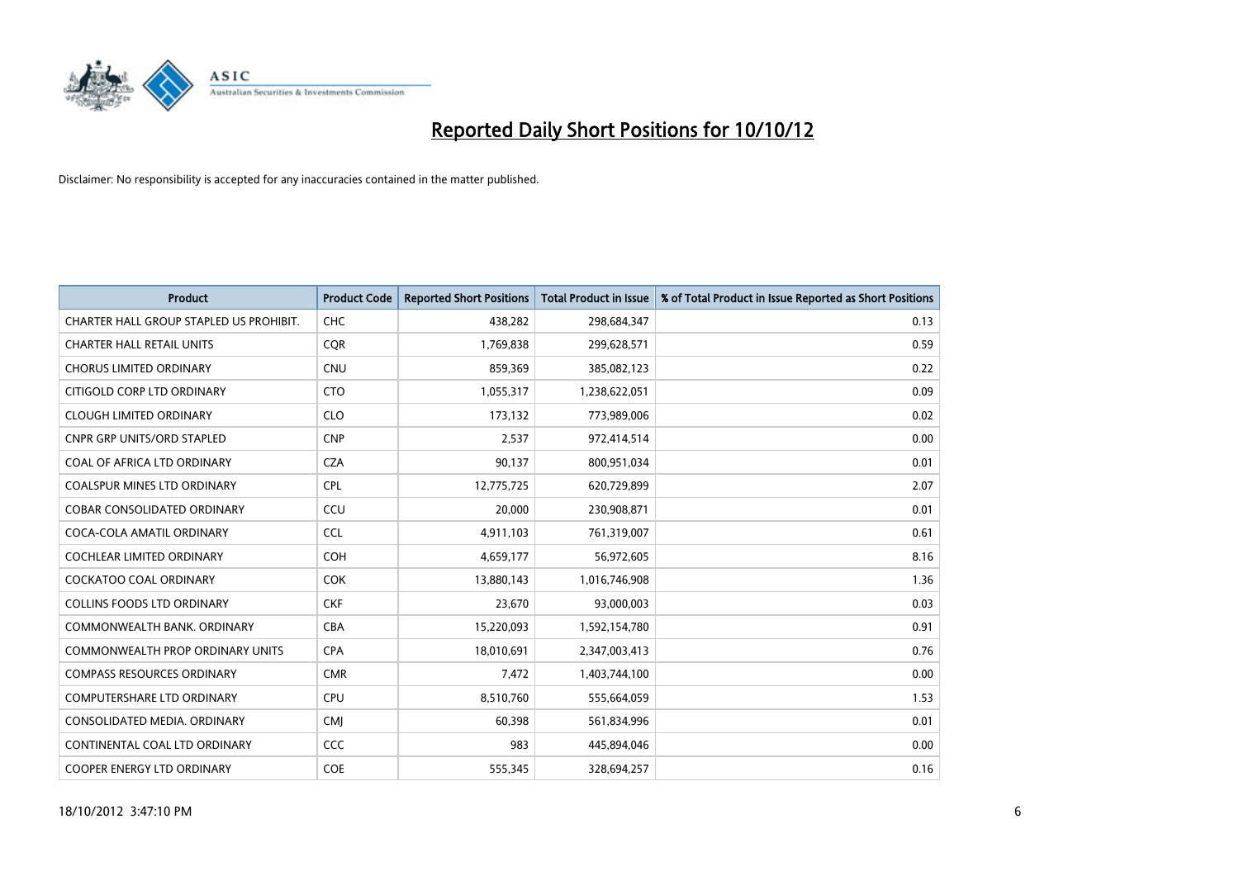

| <b>Product</b>                          | <b>Product Code</b> | <b>Reported Short Positions</b> | Total Product in Issue | % of Total Product in Issue Reported as Short Positions |
|-----------------------------------------|---------------------|---------------------------------|------------------------|---------------------------------------------------------|
| CHARTER HALL GROUP STAPLED US PROHIBIT. | <b>CHC</b>          | 438,282                         | 298,684,347            | 0.13                                                    |
| <b>CHARTER HALL RETAIL UNITS</b>        | <b>CQR</b>          | 1,769,838                       | 299,628,571            | 0.59                                                    |
| <b>CHORUS LIMITED ORDINARY</b>          | <b>CNU</b>          | 859,369                         | 385,082,123            | 0.22                                                    |
| CITIGOLD CORP LTD ORDINARY              | <b>CTO</b>          | 1,055,317                       | 1,238,622,051          | 0.09                                                    |
| <b>CLOUGH LIMITED ORDINARY</b>          | <b>CLO</b>          | 173,132                         | 773,989,006            | 0.02                                                    |
| <b>CNPR GRP UNITS/ORD STAPLED</b>       | <b>CNP</b>          | 2,537                           | 972,414,514            | 0.00                                                    |
| COAL OF AFRICA LTD ORDINARY             | <b>CZA</b>          | 90,137                          | 800,951,034            | 0.01                                                    |
| <b>COALSPUR MINES LTD ORDINARY</b>      | <b>CPL</b>          | 12,775,725                      | 620,729,899            | 2.07                                                    |
| COBAR CONSOLIDATED ORDINARY             | CCU                 | 20,000                          | 230,908,871            | 0.01                                                    |
| COCA-COLA AMATIL ORDINARY               | <b>CCL</b>          | 4,911,103                       | 761,319,007            | 0.61                                                    |
| <b>COCHLEAR LIMITED ORDINARY</b>        | <b>COH</b>          | 4,659,177                       | 56,972,605             | 8.16                                                    |
| COCKATOO COAL ORDINARY                  | <b>COK</b>          | 13,880,143                      | 1,016,746,908          | 1.36                                                    |
| <b>COLLINS FOODS LTD ORDINARY</b>       | <b>CKF</b>          | 23,670                          | 93,000,003             | 0.03                                                    |
| COMMONWEALTH BANK, ORDINARY             | <b>CBA</b>          | 15,220,093                      | 1,592,154,780          | 0.91                                                    |
| <b>COMMONWEALTH PROP ORDINARY UNITS</b> | <b>CPA</b>          | 18,010,691                      | 2,347,003,413          | 0.76                                                    |
| <b>COMPASS RESOURCES ORDINARY</b>       | <b>CMR</b>          | 7,472                           | 1,403,744,100          | 0.00                                                    |
| COMPUTERSHARE LTD ORDINARY              | <b>CPU</b>          | 8,510,760                       | 555,664,059            | 1.53                                                    |
| CONSOLIDATED MEDIA, ORDINARY            | <b>CMI</b>          | 60,398                          | 561,834,996            | 0.01                                                    |
| CONTINENTAL COAL LTD ORDINARY           | <b>CCC</b>          | 983                             | 445,894,046            | 0.00                                                    |
| COOPER ENERGY LTD ORDINARY              | <b>COE</b>          | 555,345                         | 328,694,257            | 0.16                                                    |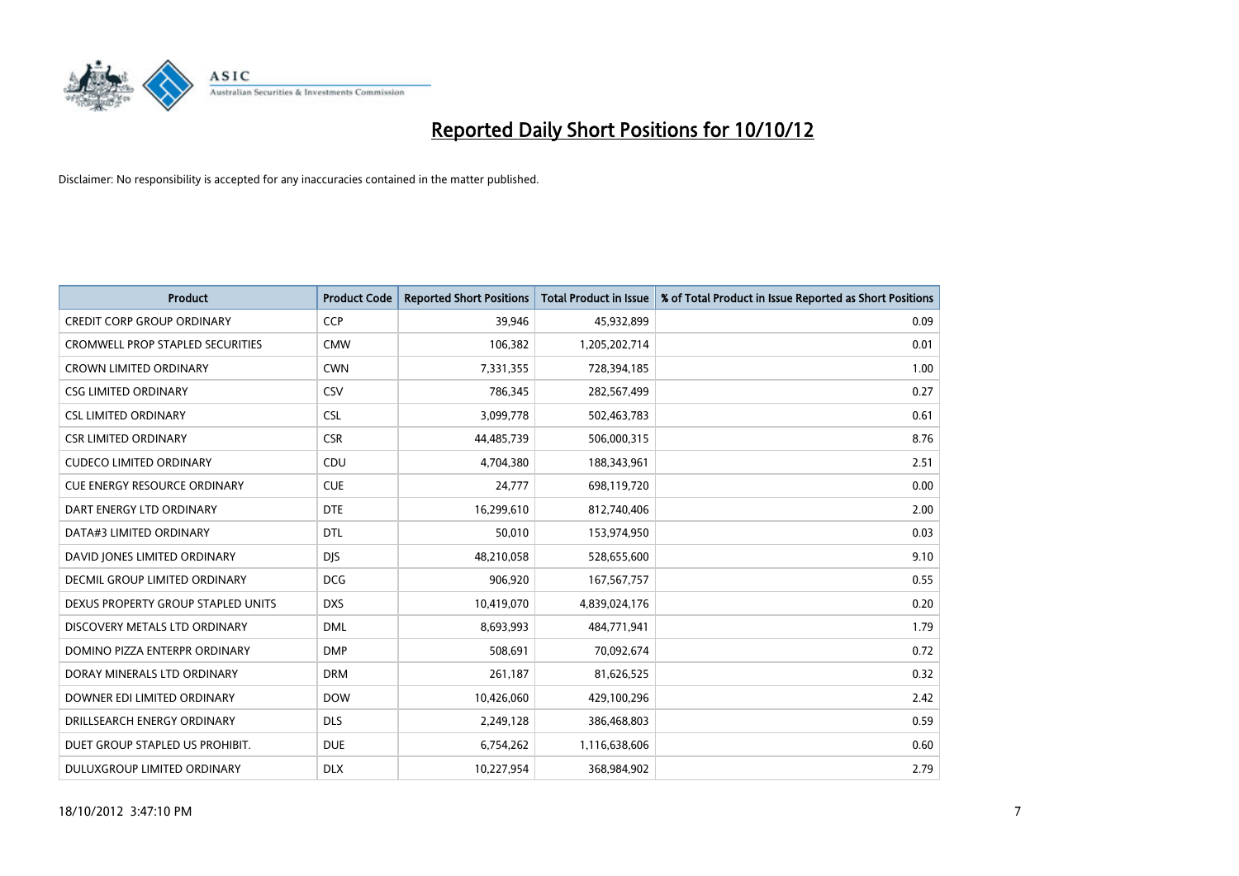

| <b>Product</b>                          | <b>Product Code</b> | <b>Reported Short Positions</b> | <b>Total Product in Issue</b> | % of Total Product in Issue Reported as Short Positions |
|-----------------------------------------|---------------------|---------------------------------|-------------------------------|---------------------------------------------------------|
| <b>CREDIT CORP GROUP ORDINARY</b>       | <b>CCP</b>          | 39,946                          | 45,932,899                    | 0.09                                                    |
| <b>CROMWELL PROP STAPLED SECURITIES</b> | <b>CMW</b>          | 106,382                         | 1,205,202,714                 | 0.01                                                    |
| <b>CROWN LIMITED ORDINARY</b>           | <b>CWN</b>          | 7,331,355                       | 728,394,185                   | 1.00                                                    |
| <b>CSG LIMITED ORDINARY</b>             | CSV                 | 786,345                         | 282,567,499                   | 0.27                                                    |
| <b>CSL LIMITED ORDINARY</b>             | <b>CSL</b>          | 3,099,778                       | 502,463,783                   | 0.61                                                    |
| <b>CSR LIMITED ORDINARY</b>             | <b>CSR</b>          | 44,485,739                      | 506,000,315                   | 8.76                                                    |
| <b>CUDECO LIMITED ORDINARY</b>          | <b>CDU</b>          | 4,704,380                       | 188,343,961                   | 2.51                                                    |
| <b>CUE ENERGY RESOURCE ORDINARY</b>     | <b>CUE</b>          | 24,777                          | 698,119,720                   | 0.00                                                    |
| DART ENERGY LTD ORDINARY                | <b>DTE</b>          | 16,299,610                      | 812,740,406                   | 2.00                                                    |
| DATA#3 LIMITED ORDINARY                 | <b>DTL</b>          | 50,010                          | 153,974,950                   | 0.03                                                    |
| DAVID JONES LIMITED ORDINARY            | <b>DIS</b>          | 48,210,058                      | 528,655,600                   | 9.10                                                    |
| <b>DECMIL GROUP LIMITED ORDINARY</b>    | <b>DCG</b>          | 906,920                         | 167,567,757                   | 0.55                                                    |
| DEXUS PROPERTY GROUP STAPLED UNITS      | <b>DXS</b>          | 10,419,070                      | 4,839,024,176                 | 0.20                                                    |
| DISCOVERY METALS LTD ORDINARY           | <b>DML</b>          | 8,693,993                       | 484,771,941                   | 1.79                                                    |
| DOMINO PIZZA ENTERPR ORDINARY           | <b>DMP</b>          | 508,691                         | 70,092,674                    | 0.72                                                    |
| DORAY MINERALS LTD ORDINARY             | <b>DRM</b>          | 261,187                         | 81,626,525                    | 0.32                                                    |
| DOWNER EDI LIMITED ORDINARY             | <b>DOW</b>          | 10,426,060                      | 429,100,296                   | 2.42                                                    |
| DRILLSEARCH ENERGY ORDINARY             | <b>DLS</b>          | 2,249,128                       | 386,468,803                   | 0.59                                                    |
| DUET GROUP STAPLED US PROHIBIT.         | <b>DUE</b>          | 6,754,262                       | 1,116,638,606                 | 0.60                                                    |
| DULUXGROUP LIMITED ORDINARY             | <b>DLX</b>          | 10,227,954                      | 368,984,902                   | 2.79                                                    |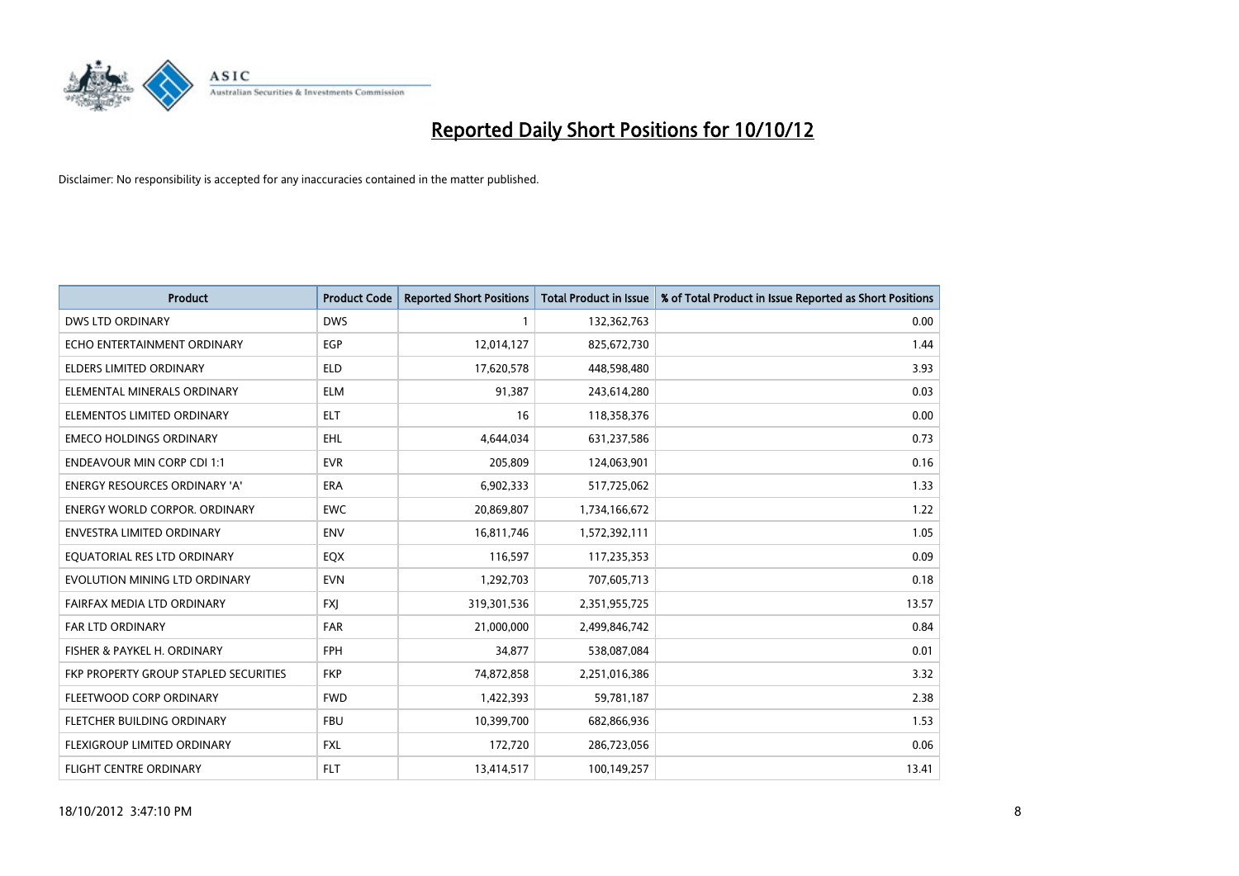

| <b>Product</b>                        | <b>Product Code</b> | <b>Reported Short Positions</b> | <b>Total Product in Issue</b> | % of Total Product in Issue Reported as Short Positions |
|---------------------------------------|---------------------|---------------------------------|-------------------------------|---------------------------------------------------------|
| <b>DWS LTD ORDINARY</b>               | <b>DWS</b>          |                                 | 132,362,763                   | 0.00                                                    |
| ECHO ENTERTAINMENT ORDINARY           | EGP                 | 12,014,127                      | 825,672,730                   | 1.44                                                    |
| ELDERS LIMITED ORDINARY               | <b>ELD</b>          | 17,620,578                      | 448,598,480                   | 3.93                                                    |
| ELEMENTAL MINERALS ORDINARY           | <b>ELM</b>          | 91,387                          | 243,614,280                   | 0.03                                                    |
| ELEMENTOS LIMITED ORDINARY            | <b>ELT</b>          | 16                              | 118,358,376                   | 0.00                                                    |
| <b>EMECO HOLDINGS ORDINARY</b>        | <b>EHL</b>          | 4,644,034                       | 631,237,586                   | 0.73                                                    |
| <b>ENDEAVOUR MIN CORP CDI 1:1</b>     | <b>EVR</b>          | 205,809                         | 124,063,901                   | 0.16                                                    |
| ENERGY RESOURCES ORDINARY 'A'         | <b>ERA</b>          | 6,902,333                       | 517,725,062                   | 1.33                                                    |
| <b>ENERGY WORLD CORPOR. ORDINARY</b>  | <b>EWC</b>          | 20,869,807                      | 1,734,166,672                 | 1.22                                                    |
| <b>ENVESTRA LIMITED ORDINARY</b>      | <b>ENV</b>          | 16,811,746                      | 1,572,392,111                 | 1.05                                                    |
| EQUATORIAL RES LTD ORDINARY           | EQX                 | 116,597                         | 117,235,353                   | 0.09                                                    |
| EVOLUTION MINING LTD ORDINARY         | <b>EVN</b>          | 1,292,703                       | 707,605,713                   | 0.18                                                    |
| FAIRFAX MEDIA LTD ORDINARY            | <b>FXJ</b>          | 319,301,536                     | 2,351,955,725                 | 13.57                                                   |
| <b>FAR LTD ORDINARY</b>               | <b>FAR</b>          | 21,000,000                      | 2,499,846,742                 | 0.84                                                    |
| FISHER & PAYKEL H. ORDINARY           | <b>FPH</b>          | 34,877                          | 538,087,084                   | 0.01                                                    |
| FKP PROPERTY GROUP STAPLED SECURITIES | <b>FKP</b>          | 74,872,858                      | 2,251,016,386                 | 3.32                                                    |
| FLEETWOOD CORP ORDINARY               | <b>FWD</b>          | 1,422,393                       | 59,781,187                    | 2.38                                                    |
| FLETCHER BUILDING ORDINARY            | <b>FBU</b>          | 10,399,700                      | 682,866,936                   | 1.53                                                    |
| FLEXIGROUP LIMITED ORDINARY           | <b>FXL</b>          | 172,720                         | 286,723,056                   | 0.06                                                    |
| FLIGHT CENTRE ORDINARY                | <b>FLT</b>          | 13,414,517                      | 100,149,257                   | 13.41                                                   |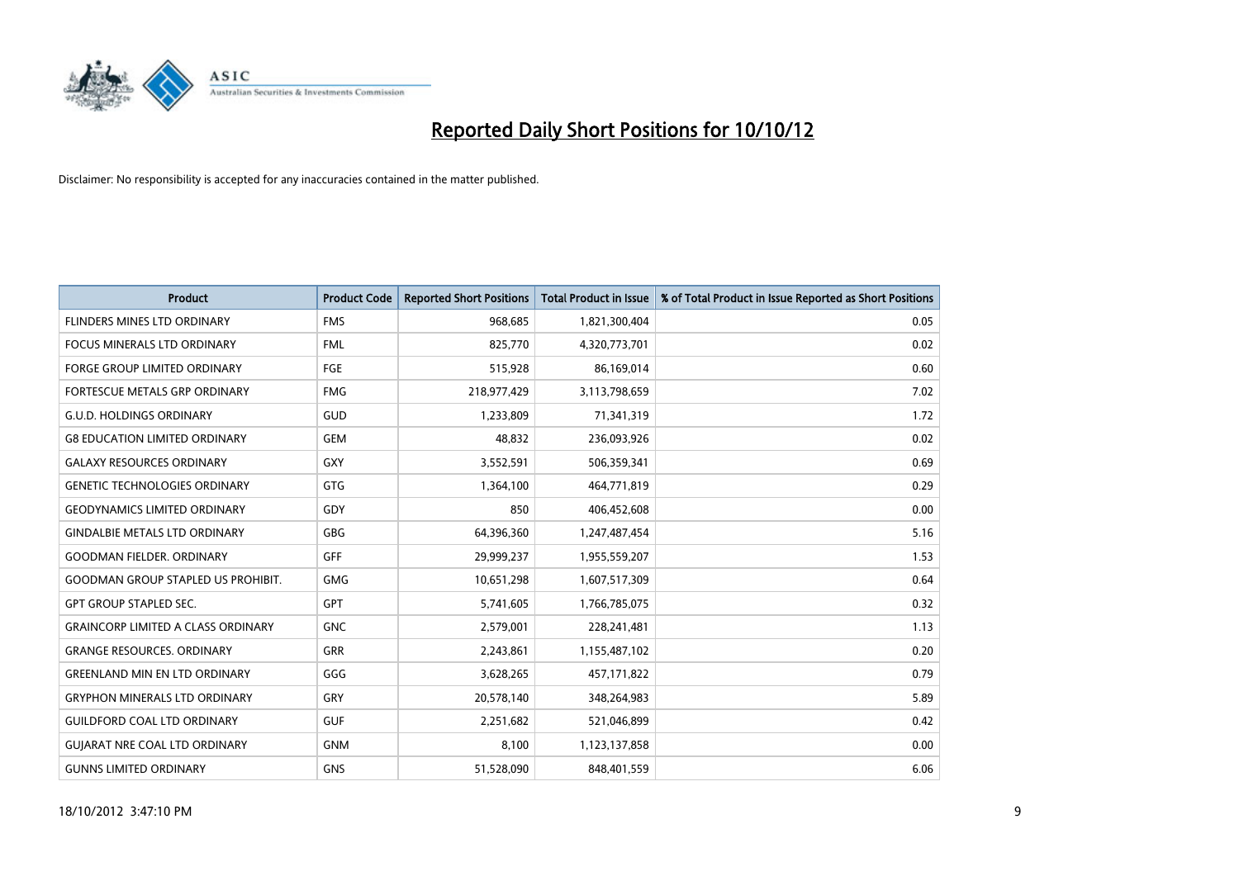

| <b>Product</b>                            | <b>Product Code</b> | <b>Reported Short Positions</b> | <b>Total Product in Issue</b> | % of Total Product in Issue Reported as Short Positions |
|-------------------------------------------|---------------------|---------------------------------|-------------------------------|---------------------------------------------------------|
| FLINDERS MINES LTD ORDINARY               | <b>FMS</b>          | 968,685                         | 1,821,300,404                 | 0.05                                                    |
| FOCUS MINERALS LTD ORDINARY               | <b>FML</b>          | 825,770                         | 4,320,773,701                 | 0.02                                                    |
| <b>FORGE GROUP LIMITED ORDINARY</b>       | FGE                 | 515,928                         | 86,169,014                    | 0.60                                                    |
| FORTESCUE METALS GRP ORDINARY             | <b>FMG</b>          | 218,977,429                     | 3,113,798,659                 | 7.02                                                    |
| <b>G.U.D. HOLDINGS ORDINARY</b>           | <b>GUD</b>          | 1,233,809                       | 71,341,319                    | 1.72                                                    |
| <b>G8 EDUCATION LIMITED ORDINARY</b>      | GEM                 | 48,832                          | 236,093,926                   | 0.02                                                    |
| <b>GALAXY RESOURCES ORDINARY</b>          | GXY                 | 3,552,591                       | 506,359,341                   | 0.69                                                    |
| <b>GENETIC TECHNOLOGIES ORDINARY</b>      | GTG                 | 1,364,100                       | 464,771,819                   | 0.29                                                    |
| <b>GEODYNAMICS LIMITED ORDINARY</b>       | GDY                 | 850                             | 406,452,608                   | 0.00                                                    |
| <b>GINDALBIE METALS LTD ORDINARY</b>      | <b>GBG</b>          | 64,396,360                      | 1,247,487,454                 | 5.16                                                    |
| <b>GOODMAN FIELDER, ORDINARY</b>          | <b>GFF</b>          | 29,999,237                      | 1,955,559,207                 | 1.53                                                    |
| <b>GOODMAN GROUP STAPLED US PROHIBIT.</b> | <b>GMG</b>          | 10,651,298                      | 1,607,517,309                 | 0.64                                                    |
| <b>GPT GROUP STAPLED SEC.</b>             | <b>GPT</b>          | 5,741,605                       | 1,766,785,075                 | 0.32                                                    |
| <b>GRAINCORP LIMITED A CLASS ORDINARY</b> | <b>GNC</b>          | 2,579,001                       | 228,241,481                   | 1.13                                                    |
| <b>GRANGE RESOURCES, ORDINARY</b>         | GRR                 | 2,243,861                       | 1,155,487,102                 | 0.20                                                    |
| <b>GREENLAND MIN EN LTD ORDINARY</b>      | GGG                 | 3,628,265                       | 457,171,822                   | 0.79                                                    |
| <b>GRYPHON MINERALS LTD ORDINARY</b>      | GRY                 | 20,578,140                      | 348,264,983                   | 5.89                                                    |
| <b>GUILDFORD COAL LTD ORDINARY</b>        | <b>GUF</b>          | 2,251,682                       | 521,046,899                   | 0.42                                                    |
| <b>GUIARAT NRE COAL LTD ORDINARY</b>      | <b>GNM</b>          | 8.100                           | 1,123,137,858                 | 0.00                                                    |
| <b>GUNNS LIMITED ORDINARY</b>             | <b>GNS</b>          | 51,528,090                      | 848,401,559                   | 6.06                                                    |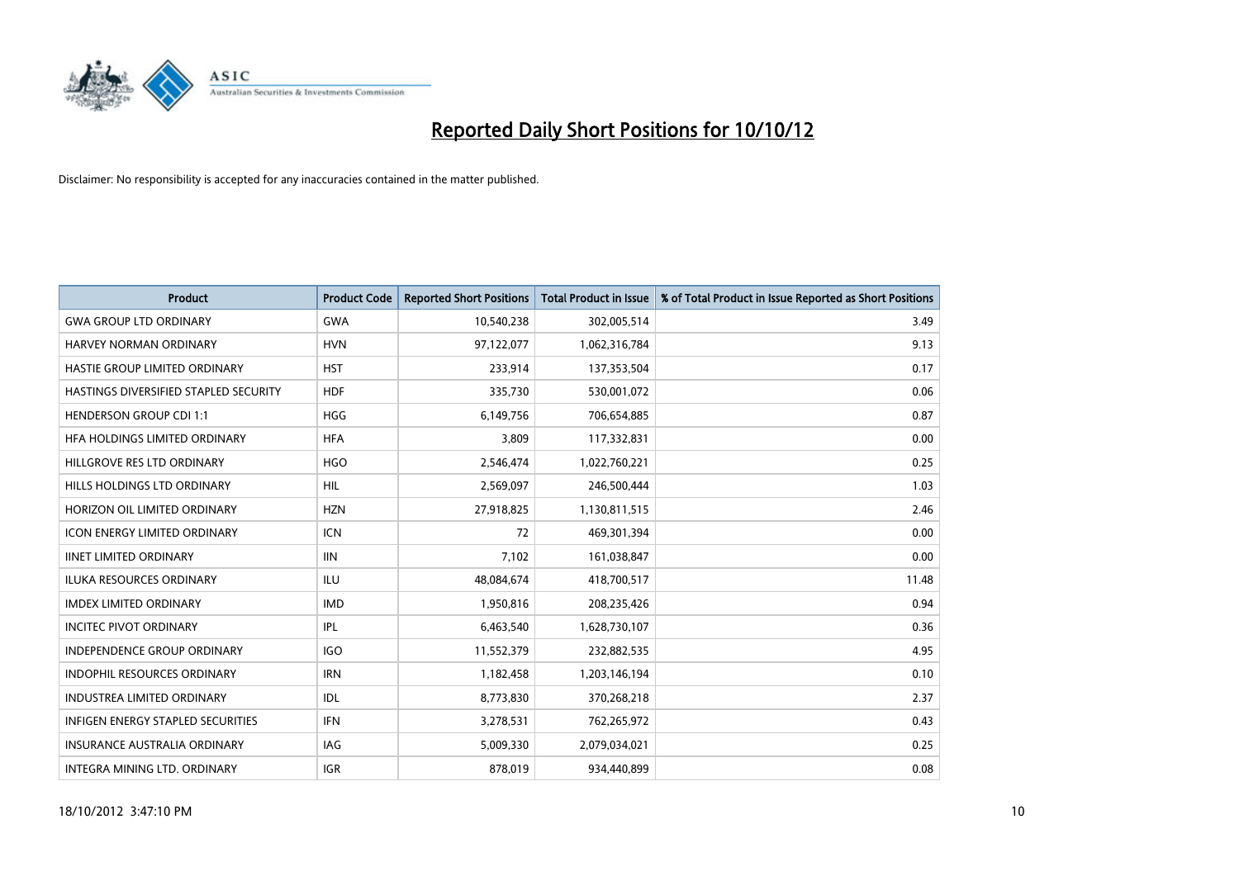

| <b>Product</b>                        | <b>Product Code</b> | <b>Reported Short Positions</b> | <b>Total Product in Issue</b> | % of Total Product in Issue Reported as Short Positions |
|---------------------------------------|---------------------|---------------------------------|-------------------------------|---------------------------------------------------------|
| <b>GWA GROUP LTD ORDINARY</b>         | <b>GWA</b>          | 10,540,238                      | 302,005,514                   | 3.49                                                    |
| HARVEY NORMAN ORDINARY                | <b>HVN</b>          | 97,122,077                      | 1,062,316,784                 | 9.13                                                    |
| HASTIE GROUP LIMITED ORDINARY         | <b>HST</b>          | 233,914                         | 137,353,504                   | 0.17                                                    |
| HASTINGS DIVERSIFIED STAPLED SECURITY | <b>HDF</b>          | 335,730                         | 530,001,072                   | 0.06                                                    |
| <b>HENDERSON GROUP CDI 1:1</b>        | <b>HGG</b>          | 6,149,756                       | 706,654,885                   | 0.87                                                    |
| HFA HOLDINGS LIMITED ORDINARY         | <b>HFA</b>          | 3,809                           | 117,332,831                   | 0.00                                                    |
| HILLGROVE RES LTD ORDINARY            | <b>HGO</b>          | 2,546,474                       | 1,022,760,221                 | 0.25                                                    |
| HILLS HOLDINGS LTD ORDINARY           | <b>HIL</b>          | 2,569,097                       | 246,500,444                   | 1.03                                                    |
| HORIZON OIL LIMITED ORDINARY          | <b>HZN</b>          | 27,918,825                      | 1,130,811,515                 | 2.46                                                    |
| <b>ICON ENERGY LIMITED ORDINARY</b>   | <b>ICN</b>          | 72                              | 469,301,394                   | 0.00                                                    |
| <b>IINET LIMITED ORDINARY</b>         | <b>IIN</b>          | 7,102                           | 161,038,847                   | 0.00                                                    |
| <b>ILUKA RESOURCES ORDINARY</b>       | ILU                 | 48,084,674                      | 418,700,517                   | 11.48                                                   |
| <b>IMDEX LIMITED ORDINARY</b>         | <b>IMD</b>          | 1,950,816                       | 208,235,426                   | 0.94                                                    |
| <b>INCITEC PIVOT ORDINARY</b>         | IPL                 | 6,463,540                       | 1,628,730,107                 | 0.36                                                    |
| <b>INDEPENDENCE GROUP ORDINARY</b>    | <b>IGO</b>          | 11,552,379                      | 232,882,535                   | 4.95                                                    |
| INDOPHIL RESOURCES ORDINARY           | <b>IRN</b>          | 1,182,458                       | 1,203,146,194                 | 0.10                                                    |
| <b>INDUSTREA LIMITED ORDINARY</b>     | IDL                 | 8,773,830                       | 370,268,218                   | 2.37                                                    |
| INFIGEN ENERGY STAPLED SECURITIES     | <b>IFN</b>          | 3,278,531                       | 762,265,972                   | 0.43                                                    |
| <b>INSURANCE AUSTRALIA ORDINARY</b>   | IAG                 | 5,009,330                       | 2,079,034,021                 | 0.25                                                    |
| INTEGRA MINING LTD, ORDINARY          | <b>IGR</b>          | 878.019                         | 934.440.899                   | 0.08                                                    |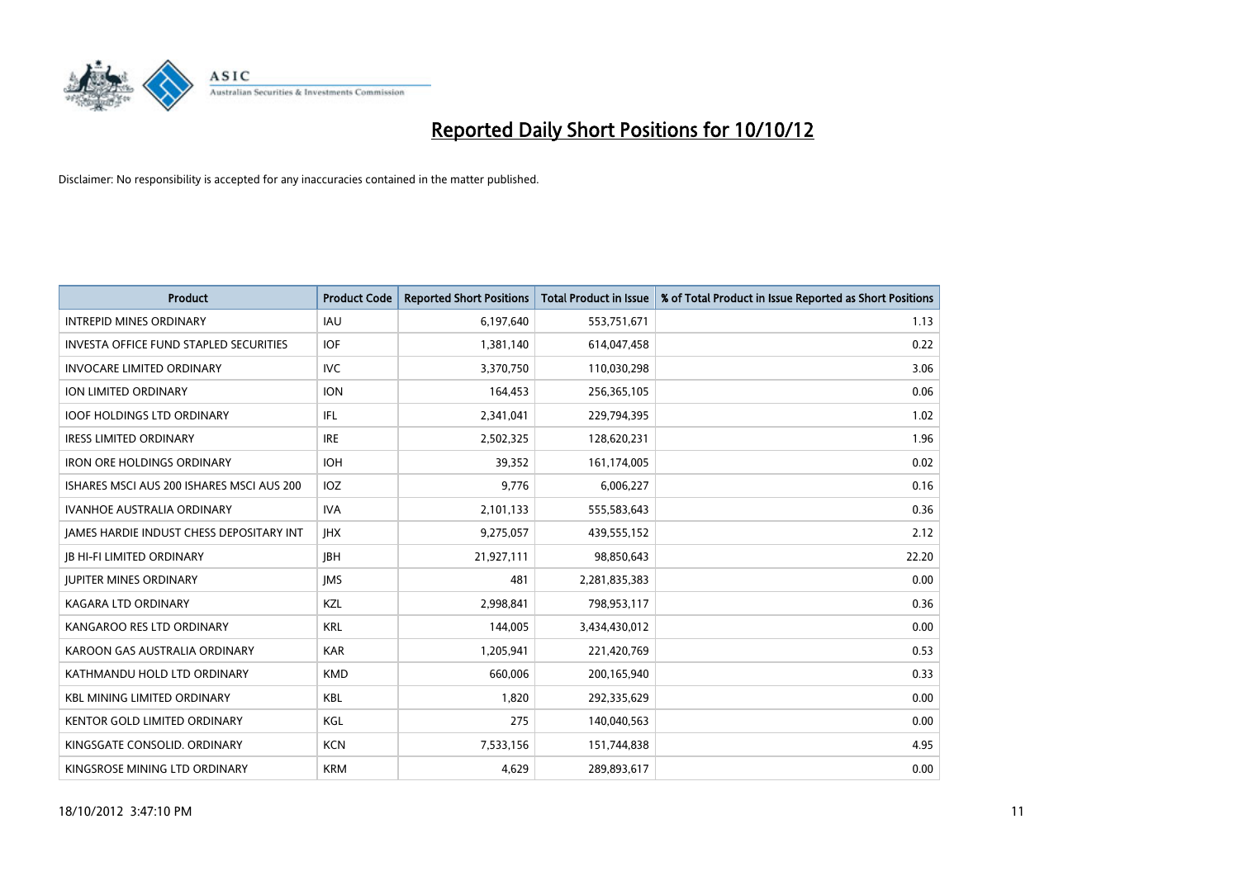

| <b>Product</b>                                  | <b>Product Code</b> | <b>Reported Short Positions</b> | <b>Total Product in Issue</b> | % of Total Product in Issue Reported as Short Positions |
|-------------------------------------------------|---------------------|---------------------------------|-------------------------------|---------------------------------------------------------|
| <b>INTREPID MINES ORDINARY</b>                  | <b>IAU</b>          | 6,197,640                       | 553,751,671                   | 1.13                                                    |
| <b>INVESTA OFFICE FUND STAPLED SECURITIES</b>   | <b>IOF</b>          | 1,381,140                       | 614,047,458                   | 0.22                                                    |
| <b>INVOCARE LIMITED ORDINARY</b>                | IVC                 | 3,370,750                       | 110,030,298                   | 3.06                                                    |
| <b>ION LIMITED ORDINARY</b>                     | <b>ION</b>          | 164,453                         | 256,365,105                   | 0.06                                                    |
| <b>IOOF HOLDINGS LTD ORDINARY</b>               | IFL.                | 2,341,041                       | 229,794,395                   | 1.02                                                    |
| <b>IRESS LIMITED ORDINARY</b>                   | <b>IRE</b>          | 2,502,325                       | 128,620,231                   | 1.96                                                    |
| <b>IRON ORE HOLDINGS ORDINARY</b>               | <b>IOH</b>          | 39,352                          | 161,174,005                   | 0.02                                                    |
| ISHARES MSCI AUS 200 ISHARES MSCI AUS 200       | <b>IOZ</b>          | 9,776                           | 6,006,227                     | 0.16                                                    |
| <b>IVANHOE AUSTRALIA ORDINARY</b>               | <b>IVA</b>          | 2,101,133                       | 555,583,643                   | 0.36                                                    |
| <b>JAMES HARDIE INDUST CHESS DEPOSITARY INT</b> | <b>IHX</b>          | 9,275,057                       | 439,555,152                   | 2.12                                                    |
| JB HI-FI LIMITED ORDINARY                       | <b>JBH</b>          | 21,927,111                      | 98,850,643                    | 22.20                                                   |
| <b>JUPITER MINES ORDINARY</b>                   | <b>IMS</b>          | 481                             | 2,281,835,383                 | 0.00                                                    |
| <b>KAGARA LTD ORDINARY</b>                      | KZL                 | 2,998,841                       | 798,953,117                   | 0.36                                                    |
| KANGAROO RES LTD ORDINARY                       | <b>KRL</b>          | 144,005                         | 3,434,430,012                 | 0.00                                                    |
| KAROON GAS AUSTRALIA ORDINARY                   | <b>KAR</b>          | 1,205,941                       | 221,420,769                   | 0.53                                                    |
| KATHMANDU HOLD LTD ORDINARY                     | <b>KMD</b>          | 660,006                         | 200,165,940                   | 0.33                                                    |
| <b>KBL MINING LIMITED ORDINARY</b>              | <b>KBL</b>          | 1,820                           | 292,335,629                   | 0.00                                                    |
| <b>KENTOR GOLD LIMITED ORDINARY</b>             | KGL                 | 275                             | 140,040,563                   | 0.00                                                    |
| KINGSGATE CONSOLID. ORDINARY                    | <b>KCN</b>          | 7,533,156                       | 151,744,838                   | 4.95                                                    |
| KINGSROSE MINING LTD ORDINARY                   | <b>KRM</b>          | 4,629                           | 289,893,617                   | 0.00                                                    |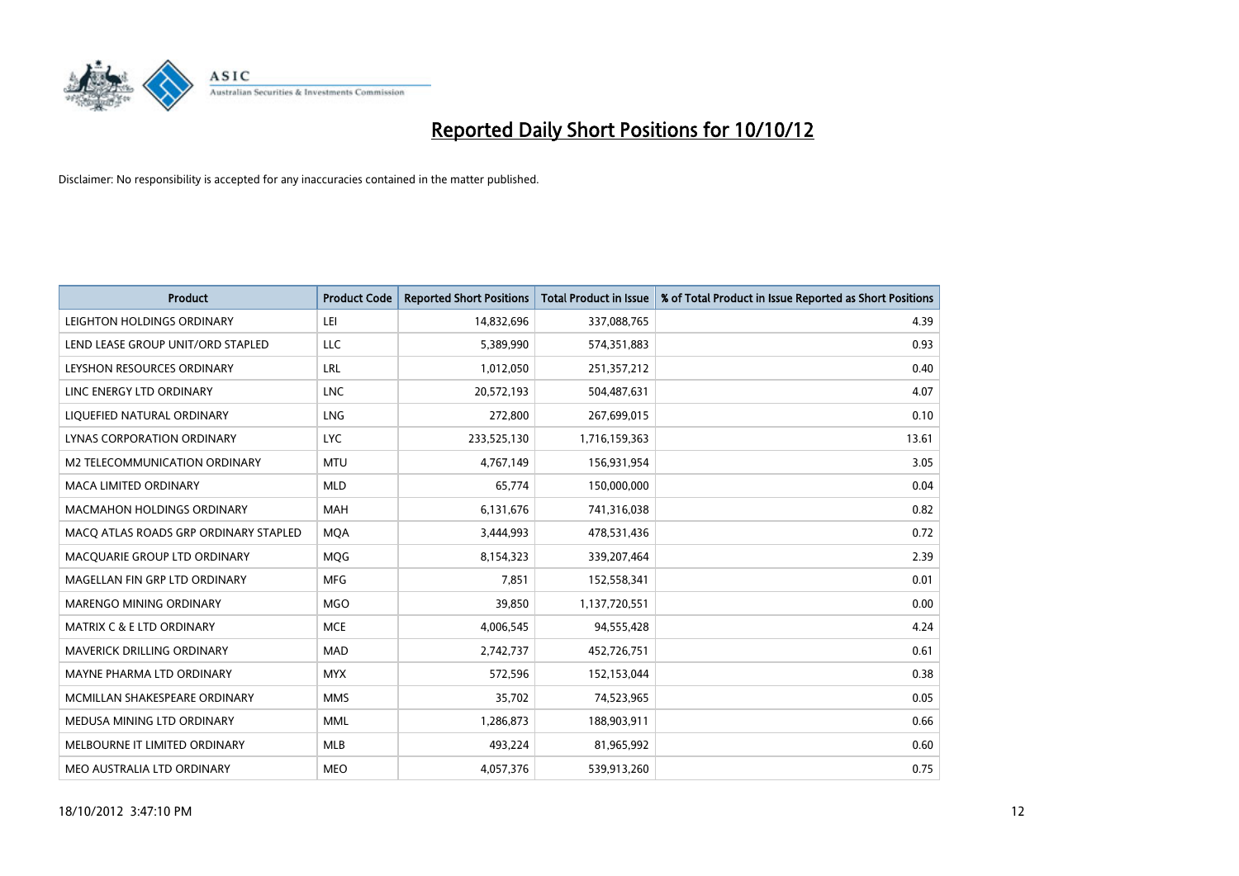

| <b>Product</b>                        | <b>Product Code</b> | <b>Reported Short Positions</b> | <b>Total Product in Issue</b> | % of Total Product in Issue Reported as Short Positions |
|---------------------------------------|---------------------|---------------------------------|-------------------------------|---------------------------------------------------------|
| LEIGHTON HOLDINGS ORDINARY            | LEI                 | 14,832,696                      | 337,088,765                   | 4.39                                                    |
| LEND LEASE GROUP UNIT/ORD STAPLED     | <b>LLC</b>          | 5,389,990                       | 574,351,883                   | 0.93                                                    |
| LEYSHON RESOURCES ORDINARY            | LRL                 | 1,012,050                       | 251,357,212                   | 0.40                                                    |
| LINC ENERGY LTD ORDINARY              | <b>LNC</b>          | 20,572,193                      | 504,487,631                   | 4.07                                                    |
| LIQUEFIED NATURAL ORDINARY            | <b>LNG</b>          | 272,800                         | 267,699,015                   | 0.10                                                    |
| LYNAS CORPORATION ORDINARY            | <b>LYC</b>          | 233,525,130                     | 1,716,159,363                 | 13.61                                                   |
| M2 TELECOMMUNICATION ORDINARY         | <b>MTU</b>          | 4,767,149                       | 156,931,954                   | 3.05                                                    |
| MACA LIMITED ORDINARY                 | <b>MLD</b>          | 65,774                          | 150,000,000                   | 0.04                                                    |
| <b>MACMAHON HOLDINGS ORDINARY</b>     | <b>MAH</b>          | 6,131,676                       | 741,316,038                   | 0.82                                                    |
| MACO ATLAS ROADS GRP ORDINARY STAPLED | <b>MOA</b>          | 3,444,993                       | 478,531,436                   | 0.72                                                    |
| MACQUARIE GROUP LTD ORDINARY          | <b>MOG</b>          | 8,154,323                       | 339,207,464                   | 2.39                                                    |
| MAGELLAN FIN GRP LTD ORDINARY         | <b>MFG</b>          | 7,851                           | 152,558,341                   | 0.01                                                    |
| MARENGO MINING ORDINARY               | <b>MGO</b>          | 39,850                          | 1,137,720,551                 | 0.00                                                    |
| <b>MATRIX C &amp; E LTD ORDINARY</b>  | <b>MCE</b>          | 4,006,545                       | 94,555,428                    | 4.24                                                    |
| <b>MAVERICK DRILLING ORDINARY</b>     | <b>MAD</b>          | 2,742,737                       | 452,726,751                   | 0.61                                                    |
| MAYNE PHARMA LTD ORDINARY             | <b>MYX</b>          | 572,596                         | 152,153,044                   | 0.38                                                    |
| MCMILLAN SHAKESPEARE ORDINARY         | <b>MMS</b>          | 35,702                          | 74,523,965                    | 0.05                                                    |
| MEDUSA MINING LTD ORDINARY            | <b>MML</b>          | 1,286,873                       | 188,903,911                   | 0.66                                                    |
| MELBOURNE IT LIMITED ORDINARY         | <b>MLB</b>          | 493,224                         | 81,965,992                    | 0.60                                                    |
| MEO AUSTRALIA LTD ORDINARY            | <b>MEO</b>          | 4,057,376                       | 539,913,260                   | 0.75                                                    |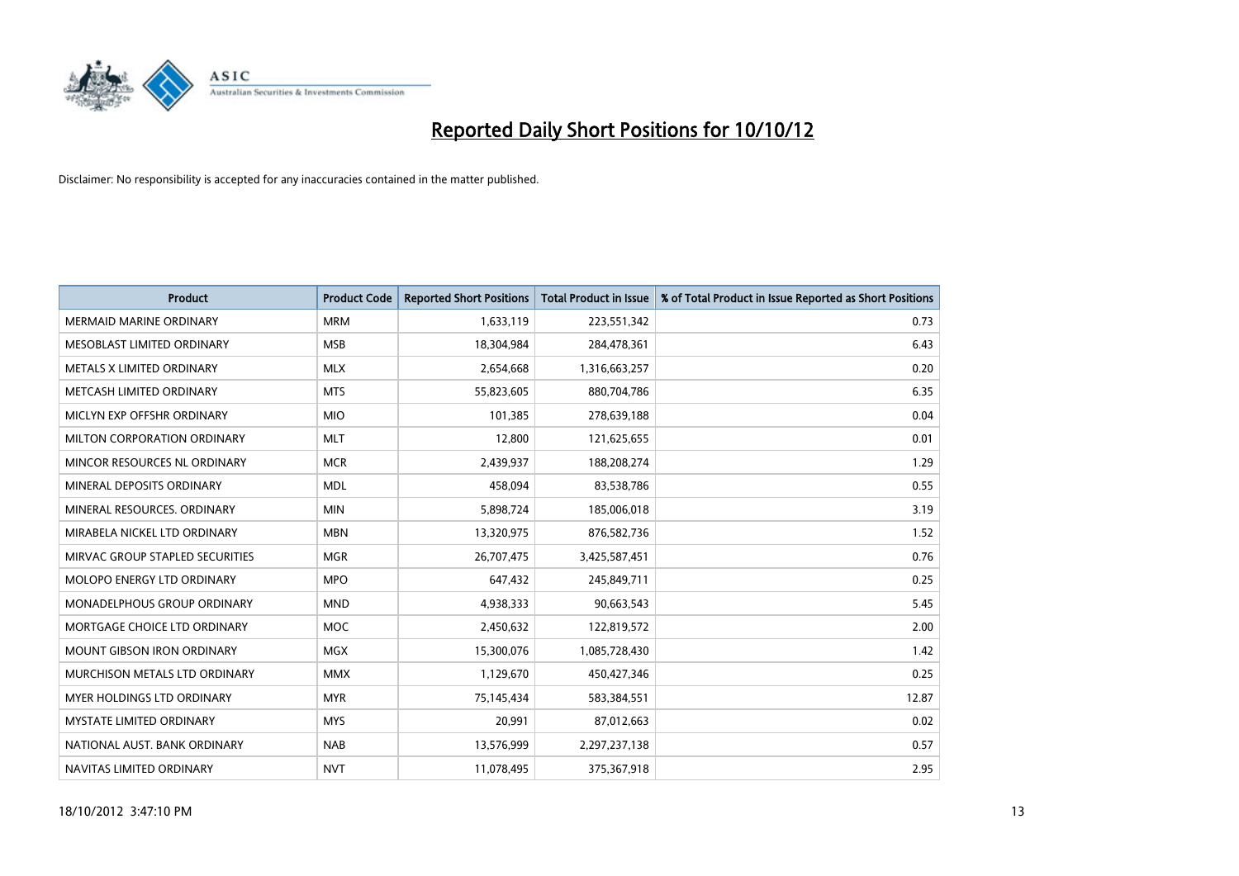

| <b>Product</b>                     | <b>Product Code</b> | <b>Reported Short Positions</b> | <b>Total Product in Issue</b> | % of Total Product in Issue Reported as Short Positions |
|------------------------------------|---------------------|---------------------------------|-------------------------------|---------------------------------------------------------|
| <b>MERMAID MARINE ORDINARY</b>     | <b>MRM</b>          | 1,633,119                       | 223,551,342                   | 0.73                                                    |
| MESOBLAST LIMITED ORDINARY         | <b>MSB</b>          | 18,304,984                      | 284,478,361                   | 6.43                                                    |
| <b>METALS X LIMITED ORDINARY</b>   | <b>MLX</b>          | 2,654,668                       | 1,316,663,257                 | 0.20                                                    |
| METCASH LIMITED ORDINARY           | <b>MTS</b>          | 55,823,605                      | 880,704,786                   | 6.35                                                    |
| MICLYN EXP OFFSHR ORDINARY         | <b>MIO</b>          | 101,385                         | 278,639,188                   | 0.04                                                    |
| MILTON CORPORATION ORDINARY        | <b>MLT</b>          | 12,800                          | 121,625,655                   | 0.01                                                    |
| MINCOR RESOURCES NL ORDINARY       | <b>MCR</b>          | 2,439,937                       | 188,208,274                   | 1.29                                                    |
| MINERAL DEPOSITS ORDINARY          | <b>MDL</b>          | 458.094                         | 83,538,786                    | 0.55                                                    |
| MINERAL RESOURCES, ORDINARY        | <b>MIN</b>          | 5,898,724                       | 185,006,018                   | 3.19                                                    |
| MIRABELA NICKEL LTD ORDINARY       | <b>MBN</b>          | 13,320,975                      | 876,582,736                   | 1.52                                                    |
| MIRVAC GROUP STAPLED SECURITIES    | <b>MGR</b>          | 26,707,475                      | 3,425,587,451                 | 0.76                                                    |
| MOLOPO ENERGY LTD ORDINARY         | <b>MPO</b>          | 647,432                         | 245,849,711                   | 0.25                                                    |
| <b>MONADELPHOUS GROUP ORDINARY</b> | <b>MND</b>          | 4,938,333                       | 90,663,543                    | 5.45                                                    |
| MORTGAGE CHOICE LTD ORDINARY       | <b>MOC</b>          | 2,450,632                       | 122,819,572                   | 2.00                                                    |
| <b>MOUNT GIBSON IRON ORDINARY</b>  | <b>MGX</b>          | 15,300,076                      | 1,085,728,430                 | 1.42                                                    |
| MURCHISON METALS LTD ORDINARY      | <b>MMX</b>          | 1,129,670                       | 450,427,346                   | 0.25                                                    |
| MYER HOLDINGS LTD ORDINARY         | <b>MYR</b>          | 75,145,434                      | 583,384,551                   | 12.87                                                   |
| <b>MYSTATE LIMITED ORDINARY</b>    | <b>MYS</b>          | 20,991                          | 87,012,663                    | 0.02                                                    |
| NATIONAL AUST, BANK ORDINARY       | <b>NAB</b>          | 13,576,999                      | 2,297,237,138                 | 0.57                                                    |
| NAVITAS LIMITED ORDINARY           | <b>NVT</b>          | 11,078,495                      | 375,367,918                   | 2.95                                                    |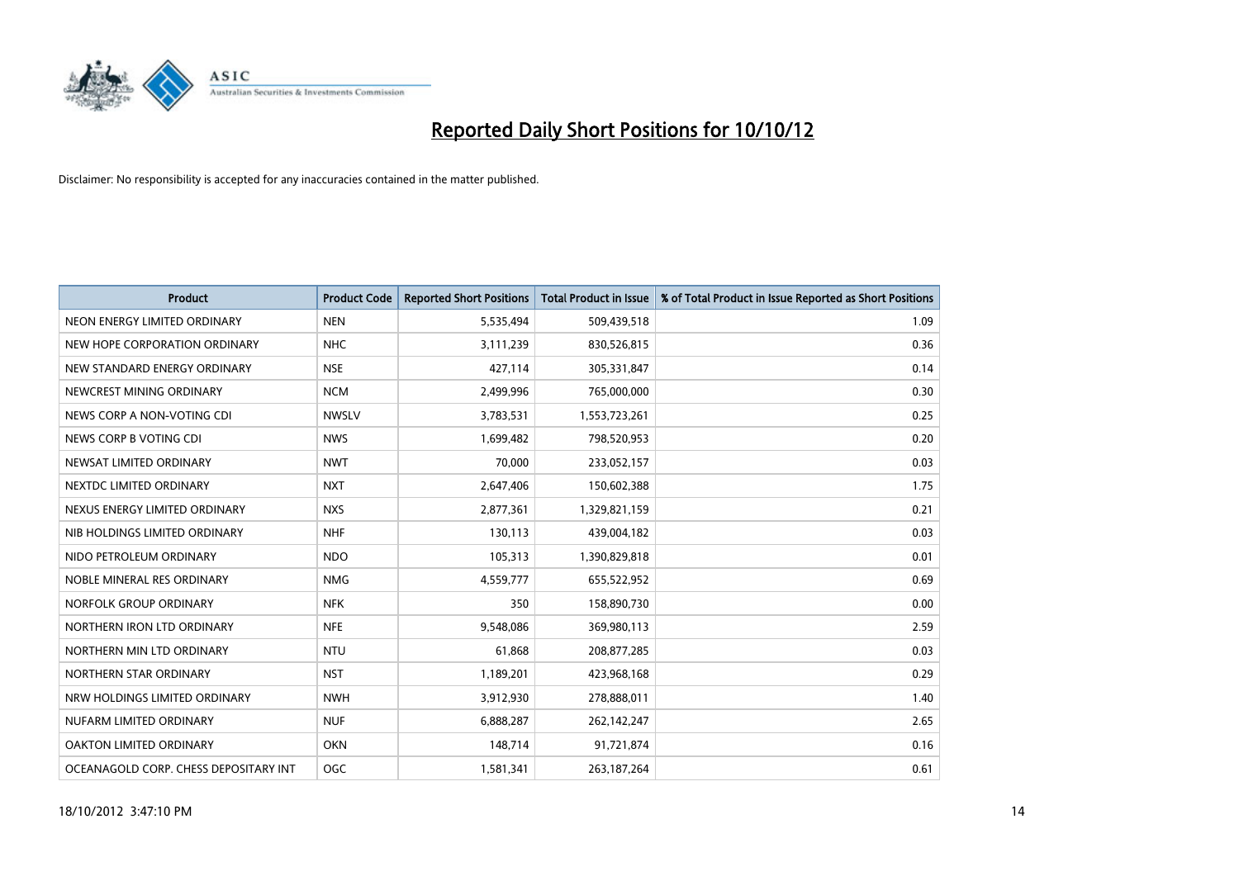

| <b>Product</b>                        | <b>Product Code</b> | <b>Reported Short Positions</b> | <b>Total Product in Issue</b> | % of Total Product in Issue Reported as Short Positions |
|---------------------------------------|---------------------|---------------------------------|-------------------------------|---------------------------------------------------------|
| NEON ENERGY LIMITED ORDINARY          | <b>NEN</b>          | 5,535,494                       | 509,439,518                   | 1.09                                                    |
| NEW HOPE CORPORATION ORDINARY         | <b>NHC</b>          | 3,111,239                       | 830,526,815                   | 0.36                                                    |
| NEW STANDARD ENERGY ORDINARY          | <b>NSE</b>          | 427,114                         | 305,331,847                   | 0.14                                                    |
| NEWCREST MINING ORDINARY              | <b>NCM</b>          | 2,499,996                       | 765,000,000                   | 0.30                                                    |
| NEWS CORP A NON-VOTING CDI            | <b>NWSLV</b>        | 3,783,531                       | 1,553,723,261                 | 0.25                                                    |
| NEWS CORP B VOTING CDI                | <b>NWS</b>          | 1,699,482                       | 798,520,953                   | 0.20                                                    |
| NEWSAT LIMITED ORDINARY               | <b>NWT</b>          | 70.000                          | 233,052,157                   | 0.03                                                    |
| NEXTDC LIMITED ORDINARY               | <b>NXT</b>          | 2,647,406                       | 150,602,388                   | 1.75                                                    |
| NEXUS ENERGY LIMITED ORDINARY         | <b>NXS</b>          | 2,877,361                       | 1,329,821,159                 | 0.21                                                    |
| NIB HOLDINGS LIMITED ORDINARY         | <b>NHF</b>          | 130,113                         | 439,004,182                   | 0.03                                                    |
| NIDO PETROLEUM ORDINARY               | <b>NDO</b>          | 105,313                         | 1,390,829,818                 | 0.01                                                    |
| NOBLE MINERAL RES ORDINARY            | <b>NMG</b>          | 4,559,777                       | 655,522,952                   | 0.69                                                    |
| NORFOLK GROUP ORDINARY                | <b>NFK</b>          | 350                             | 158,890,730                   | 0.00                                                    |
| NORTHERN IRON LTD ORDINARY            | <b>NFE</b>          | 9,548,086                       | 369,980,113                   | 2.59                                                    |
| NORTHERN MIN LTD ORDINARY             | <b>NTU</b>          | 61,868                          | 208,877,285                   | 0.03                                                    |
| NORTHERN STAR ORDINARY                | <b>NST</b>          | 1,189,201                       | 423,968,168                   | 0.29                                                    |
| NRW HOLDINGS LIMITED ORDINARY         | <b>NWH</b>          | 3,912,930                       | 278,888,011                   | 1.40                                                    |
| NUFARM LIMITED ORDINARY               | <b>NUF</b>          | 6,888,287                       | 262,142,247                   | 2.65                                                    |
| OAKTON LIMITED ORDINARY               | <b>OKN</b>          | 148,714                         | 91,721,874                    | 0.16                                                    |
| OCEANAGOLD CORP. CHESS DEPOSITARY INT | <b>OGC</b>          | 1,581,341                       | 263, 187, 264                 | 0.61                                                    |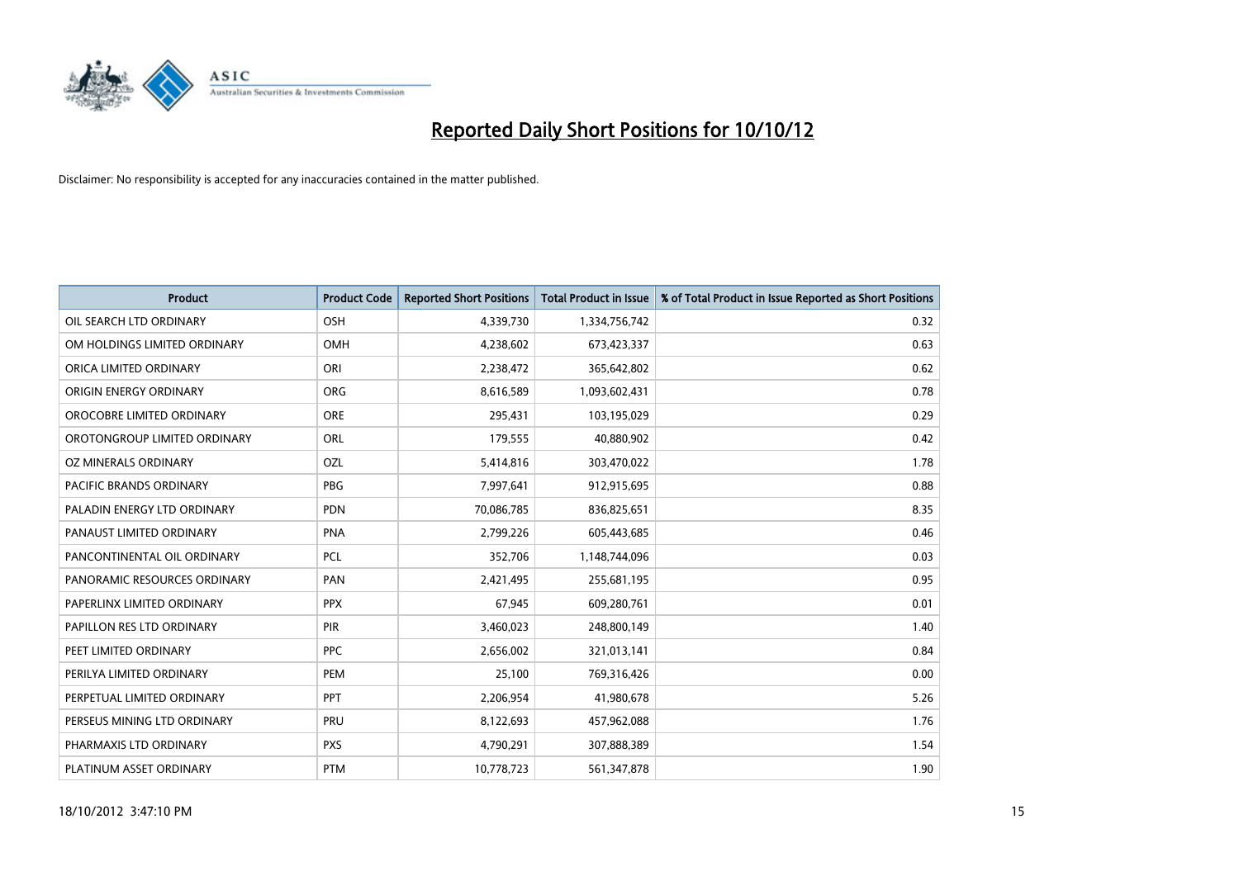

| <b>Product</b>               | <b>Product Code</b> | <b>Reported Short Positions</b> | <b>Total Product in Issue</b> | % of Total Product in Issue Reported as Short Positions |
|------------------------------|---------------------|---------------------------------|-------------------------------|---------------------------------------------------------|
| OIL SEARCH LTD ORDINARY      | OSH                 | 4,339,730                       | 1,334,756,742                 | 0.32                                                    |
| OM HOLDINGS LIMITED ORDINARY | <b>OMH</b>          | 4,238,602                       | 673,423,337                   | 0.63                                                    |
| ORICA LIMITED ORDINARY       | ORI                 | 2,238,472                       | 365,642,802                   | 0.62                                                    |
| ORIGIN ENERGY ORDINARY       | <b>ORG</b>          | 8,616,589                       | 1,093,602,431                 | 0.78                                                    |
| OROCOBRE LIMITED ORDINARY    | <b>ORE</b>          | 295,431                         | 103,195,029                   | 0.29                                                    |
| OROTONGROUP LIMITED ORDINARY | ORL                 | 179,555                         | 40,880,902                    | 0.42                                                    |
| OZ MINERALS ORDINARY         | OZL                 | 5,414,816                       | 303,470,022                   | 1.78                                                    |
| PACIFIC BRANDS ORDINARY      | <b>PBG</b>          | 7,997,641                       | 912,915,695                   | 0.88                                                    |
| PALADIN ENERGY LTD ORDINARY  | <b>PDN</b>          | 70,086,785                      | 836,825,651                   | 8.35                                                    |
| PANAUST LIMITED ORDINARY     | PNA                 | 2,799,226                       | 605,443,685                   | 0.46                                                    |
| PANCONTINENTAL OIL ORDINARY  | <b>PCL</b>          | 352,706                         | 1,148,744,096                 | 0.03                                                    |
| PANORAMIC RESOURCES ORDINARY | PAN                 | 2,421,495                       | 255,681,195                   | 0.95                                                    |
| PAPERLINX LIMITED ORDINARY   | <b>PPX</b>          | 67,945                          | 609,280,761                   | 0.01                                                    |
| PAPILLON RES LTD ORDINARY    | <b>PIR</b>          | 3,460,023                       | 248,800,149                   | 1.40                                                    |
| PEET LIMITED ORDINARY        | <b>PPC</b>          | 2,656,002                       | 321,013,141                   | 0.84                                                    |
| PERILYA LIMITED ORDINARY     | PEM                 | 25,100                          | 769,316,426                   | 0.00                                                    |
| PERPETUAL LIMITED ORDINARY   | PPT                 | 2,206,954                       | 41,980,678                    | 5.26                                                    |
| PERSEUS MINING LTD ORDINARY  | <b>PRU</b>          | 8,122,693                       | 457,962,088                   | 1.76                                                    |
| PHARMAXIS LTD ORDINARY       | <b>PXS</b>          | 4,790,291                       | 307,888,389                   | 1.54                                                    |
| PLATINUM ASSET ORDINARY      | <b>PTM</b>          | 10,778,723                      | 561,347,878                   | 1.90                                                    |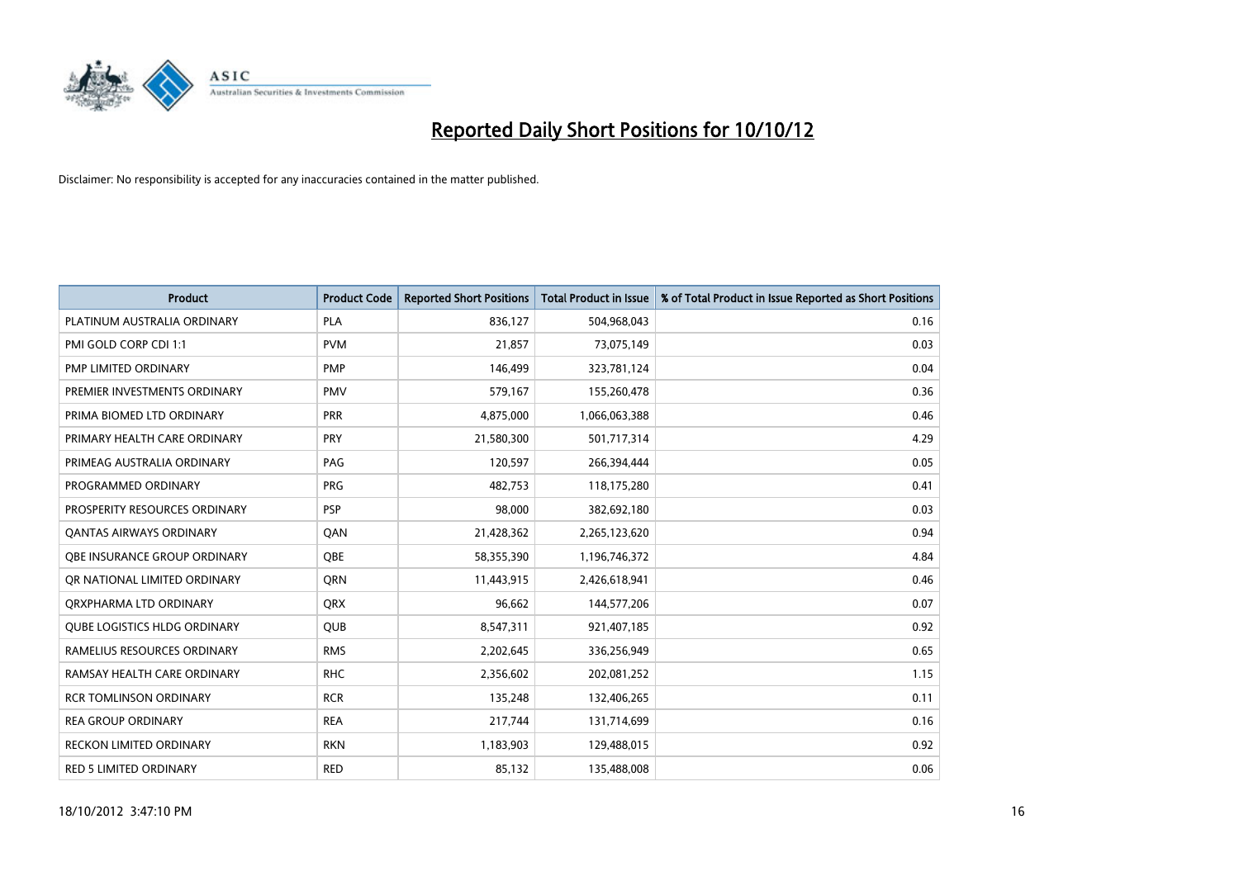

| <b>Product</b>                      | <b>Product Code</b> | <b>Reported Short Positions</b> | <b>Total Product in Issue</b> | % of Total Product in Issue Reported as Short Positions |
|-------------------------------------|---------------------|---------------------------------|-------------------------------|---------------------------------------------------------|
| PLATINUM AUSTRALIA ORDINARY         | PLA                 | 836,127                         | 504,968,043                   | 0.16                                                    |
| PMI GOLD CORP CDI 1:1               | <b>PVM</b>          | 21,857                          | 73,075,149                    | 0.03                                                    |
| PMP LIMITED ORDINARY                | <b>PMP</b>          | 146,499                         | 323,781,124                   | 0.04                                                    |
| PREMIER INVESTMENTS ORDINARY        | <b>PMV</b>          | 579,167                         | 155,260,478                   | 0.36                                                    |
| PRIMA BIOMED LTD ORDINARY           | <b>PRR</b>          | 4,875,000                       | 1,066,063,388                 | 0.46                                                    |
| PRIMARY HEALTH CARE ORDINARY        | <b>PRY</b>          | 21,580,300                      | 501,717,314                   | 4.29                                                    |
| PRIMEAG AUSTRALIA ORDINARY          | PAG                 | 120,597                         | 266,394,444                   | 0.05                                                    |
| PROGRAMMED ORDINARY                 | <b>PRG</b>          | 482,753                         | 118,175,280                   | 0.41                                                    |
| PROSPERITY RESOURCES ORDINARY       | <b>PSP</b>          | 98,000                          | 382,692,180                   | 0.03                                                    |
| <b>QANTAS AIRWAYS ORDINARY</b>      | QAN                 | 21,428,362                      | 2,265,123,620                 | 0.94                                                    |
| OBE INSURANCE GROUP ORDINARY        | <b>OBE</b>          | 58,355,390                      | 1,196,746,372                 | 4.84                                                    |
| OR NATIONAL LIMITED ORDINARY        | <b>ORN</b>          | 11,443,915                      | 2,426,618,941                 | 0.46                                                    |
| ORXPHARMA LTD ORDINARY              | <b>ORX</b>          | 96,662                          | 144,577,206                   | 0.07                                                    |
| <b>QUBE LOGISTICS HLDG ORDINARY</b> | <b>QUB</b>          | 8,547,311                       | 921,407,185                   | 0.92                                                    |
| RAMELIUS RESOURCES ORDINARY         | <b>RMS</b>          | 2,202,645                       | 336,256,949                   | 0.65                                                    |
| RAMSAY HEALTH CARE ORDINARY         | <b>RHC</b>          | 2,356,602                       | 202,081,252                   | 1.15                                                    |
| <b>RCR TOMLINSON ORDINARY</b>       | <b>RCR</b>          | 135,248                         | 132,406,265                   | 0.11                                                    |
| <b>REA GROUP ORDINARY</b>           | <b>REA</b>          | 217,744                         | 131,714,699                   | 0.16                                                    |
| <b>RECKON LIMITED ORDINARY</b>      | <b>RKN</b>          | 1,183,903                       | 129,488,015                   | 0.92                                                    |
| <b>RED 5 LIMITED ORDINARY</b>       | <b>RED</b>          | 85,132                          | 135,488,008                   | 0.06                                                    |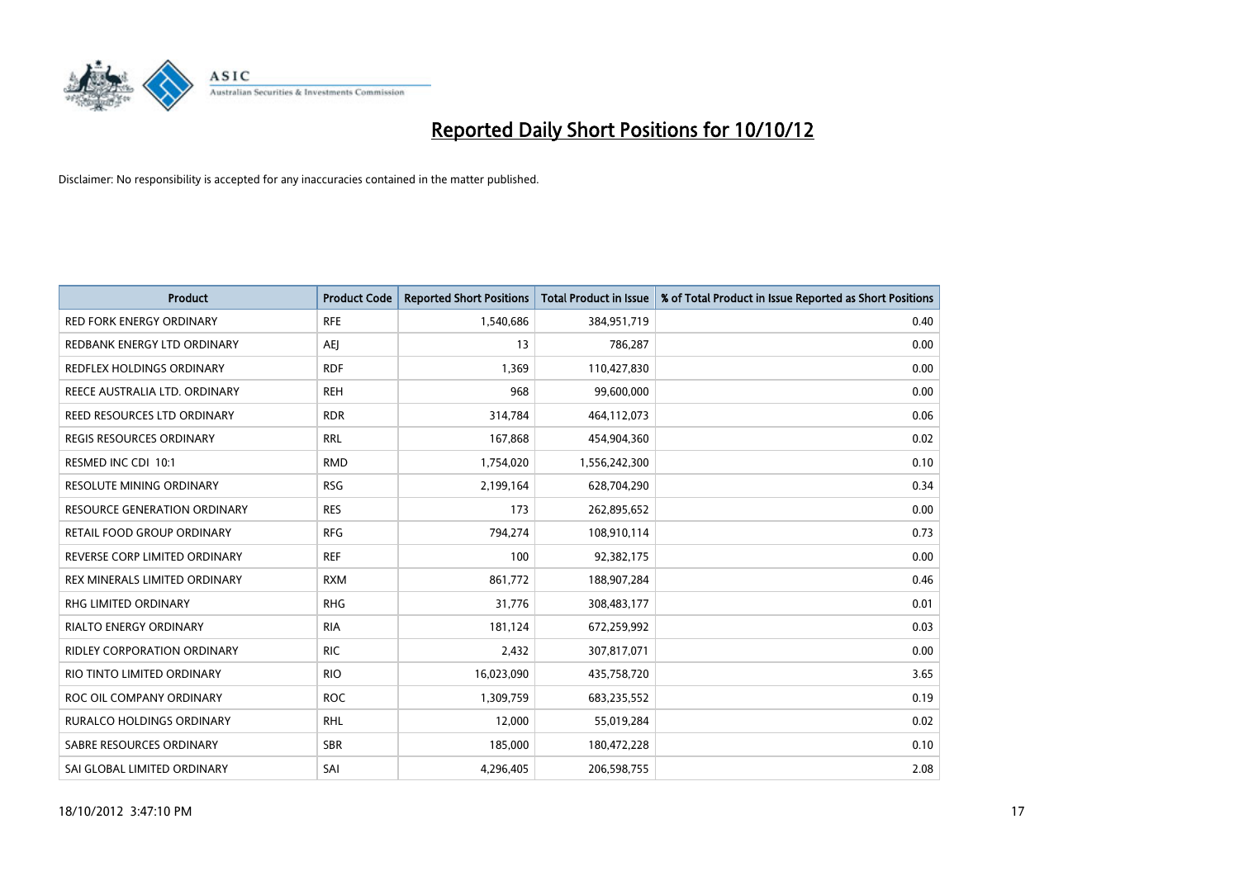

| <b>Product</b>                      | <b>Product Code</b> | <b>Reported Short Positions</b> | <b>Total Product in Issue</b> | % of Total Product in Issue Reported as Short Positions |
|-------------------------------------|---------------------|---------------------------------|-------------------------------|---------------------------------------------------------|
| <b>RED FORK ENERGY ORDINARY</b>     | <b>RFE</b>          | 1,540,686                       | 384,951,719                   | 0.40                                                    |
| REDBANK ENERGY LTD ORDINARY         | AEJ                 | 13                              | 786,287                       | 0.00                                                    |
| REDFLEX HOLDINGS ORDINARY           | <b>RDF</b>          | 1.369                           | 110,427,830                   | 0.00                                                    |
| REECE AUSTRALIA LTD. ORDINARY       | <b>REH</b>          | 968                             | 99,600,000                    | 0.00                                                    |
| REED RESOURCES LTD ORDINARY         | <b>RDR</b>          | 314,784                         | 464,112,073                   | 0.06                                                    |
| <b>REGIS RESOURCES ORDINARY</b>     | <b>RRL</b>          | 167,868                         | 454,904,360                   | 0.02                                                    |
| RESMED INC CDI 10:1                 | <b>RMD</b>          | 1,754,020                       | 1,556,242,300                 | 0.10                                                    |
| RESOLUTE MINING ORDINARY            | <b>RSG</b>          | 2,199,164                       | 628,704,290                   | 0.34                                                    |
| <b>RESOURCE GENERATION ORDINARY</b> | <b>RES</b>          | 173                             | 262,895,652                   | 0.00                                                    |
| RETAIL FOOD GROUP ORDINARY          | <b>RFG</b>          | 794,274                         | 108,910,114                   | 0.73                                                    |
| REVERSE CORP LIMITED ORDINARY       | <b>REF</b>          | 100                             | 92,382,175                    | 0.00                                                    |
| REX MINERALS LIMITED ORDINARY       | <b>RXM</b>          | 861,772                         | 188,907,284                   | 0.46                                                    |
| RHG LIMITED ORDINARY                | <b>RHG</b>          | 31,776                          | 308,483,177                   | 0.01                                                    |
| <b>RIALTO ENERGY ORDINARY</b>       | <b>RIA</b>          | 181,124                         | 672,259,992                   | 0.03                                                    |
| <b>RIDLEY CORPORATION ORDINARY</b>  | <b>RIC</b>          | 2,432                           | 307,817,071                   | 0.00                                                    |
| RIO TINTO LIMITED ORDINARY          | <b>RIO</b>          | 16,023,090                      | 435,758,720                   | 3.65                                                    |
| ROC OIL COMPANY ORDINARY            | <b>ROC</b>          | 1,309,759                       | 683,235,552                   | 0.19                                                    |
| RURALCO HOLDINGS ORDINARY           | <b>RHL</b>          | 12,000                          | 55,019,284                    | 0.02                                                    |
| SABRE RESOURCES ORDINARY            | <b>SBR</b>          | 185,000                         | 180,472,228                   | 0.10                                                    |
| SAI GLOBAL LIMITED ORDINARY         | SAI                 | 4,296,405                       | 206,598,755                   | 2.08                                                    |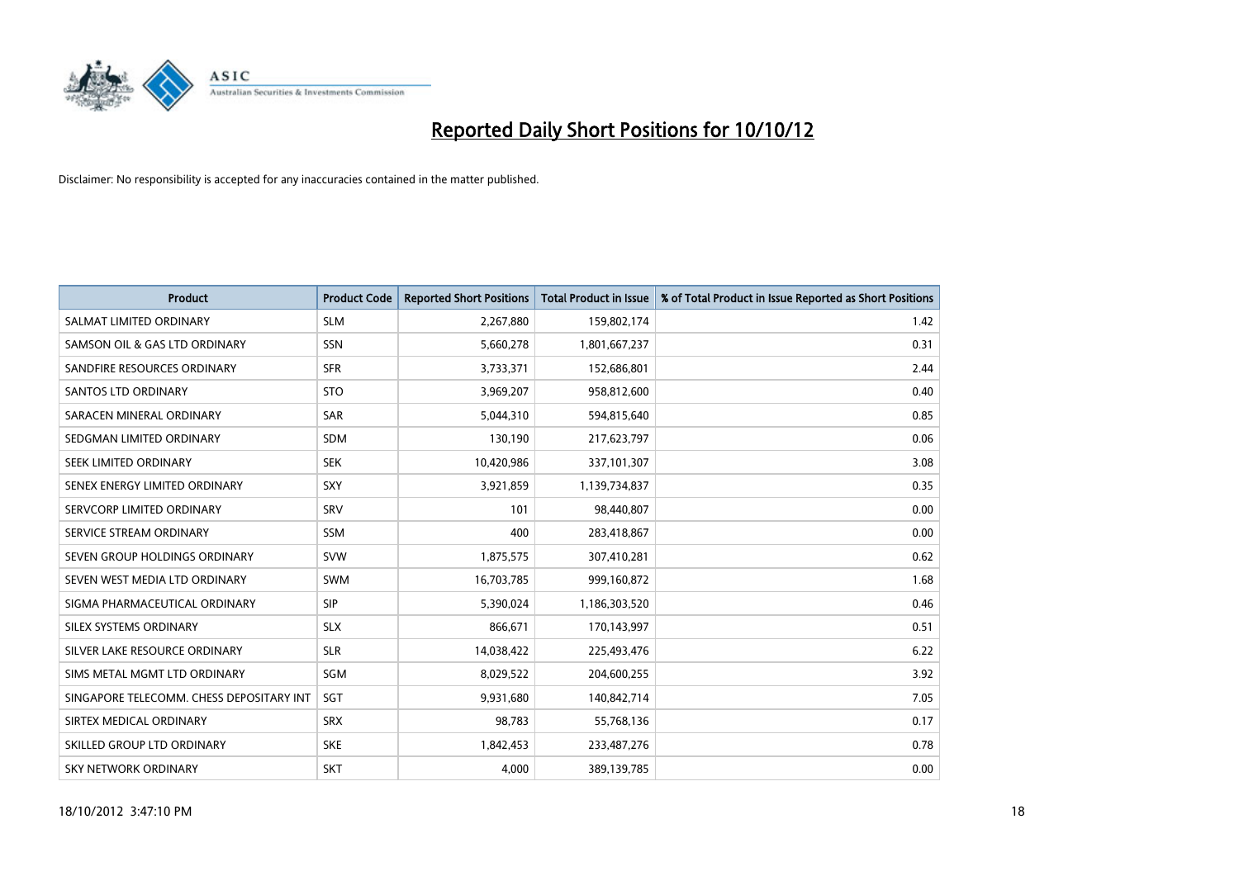

| <b>Product</b>                           | <b>Product Code</b> | <b>Reported Short Positions</b> | <b>Total Product in Issue</b> | % of Total Product in Issue Reported as Short Positions |
|------------------------------------------|---------------------|---------------------------------|-------------------------------|---------------------------------------------------------|
| SALMAT LIMITED ORDINARY                  | <b>SLM</b>          | 2,267,880                       | 159,802,174                   | 1.42                                                    |
| SAMSON OIL & GAS LTD ORDINARY            | SSN                 | 5,660,278                       | 1,801,667,237                 | 0.31                                                    |
| SANDFIRE RESOURCES ORDINARY              | <b>SFR</b>          | 3,733,371                       | 152,686,801                   | 2.44                                                    |
| <b>SANTOS LTD ORDINARY</b>               | <b>STO</b>          | 3,969,207                       | 958,812,600                   | 0.40                                                    |
| SARACEN MINERAL ORDINARY                 | SAR                 | 5,044,310                       | 594,815,640                   | 0.85                                                    |
| SEDGMAN LIMITED ORDINARY                 | <b>SDM</b>          | 130,190                         | 217,623,797                   | 0.06                                                    |
| SEEK LIMITED ORDINARY                    | <b>SEK</b>          | 10,420,986                      | 337,101,307                   | 3.08                                                    |
| SENEX ENERGY LIMITED ORDINARY            | <b>SXY</b>          | 3,921,859                       | 1,139,734,837                 | 0.35                                                    |
| SERVCORP LIMITED ORDINARY                | SRV                 | 101                             | 98,440,807                    | 0.00                                                    |
| SERVICE STREAM ORDINARY                  | <b>SSM</b>          | 400                             | 283,418,867                   | 0.00                                                    |
| SEVEN GROUP HOLDINGS ORDINARY            | <b>SVW</b>          | 1,875,575                       | 307,410,281                   | 0.62                                                    |
| SEVEN WEST MEDIA LTD ORDINARY            | <b>SWM</b>          | 16,703,785                      | 999,160,872                   | 1.68                                                    |
| SIGMA PHARMACEUTICAL ORDINARY            | <b>SIP</b>          | 5,390,024                       | 1,186,303,520                 | 0.46                                                    |
| SILEX SYSTEMS ORDINARY                   | <b>SLX</b>          | 866,671                         | 170,143,997                   | 0.51                                                    |
| SILVER LAKE RESOURCE ORDINARY            | <b>SLR</b>          | 14,038,422                      | 225,493,476                   | 6.22                                                    |
| SIMS METAL MGMT LTD ORDINARY             | SGM                 | 8,029,522                       | 204,600,255                   | 3.92                                                    |
| SINGAPORE TELECOMM. CHESS DEPOSITARY INT | SGT                 | 9,931,680                       | 140,842,714                   | 7.05                                                    |
| SIRTEX MEDICAL ORDINARY                  | <b>SRX</b>          | 98,783                          | 55,768,136                    | 0.17                                                    |
| SKILLED GROUP LTD ORDINARY               | <b>SKE</b>          | 1,842,453                       | 233,487,276                   | 0.78                                                    |
| <b>SKY NETWORK ORDINARY</b>              | <b>SKT</b>          | 4.000                           | 389,139,785                   | 0.00                                                    |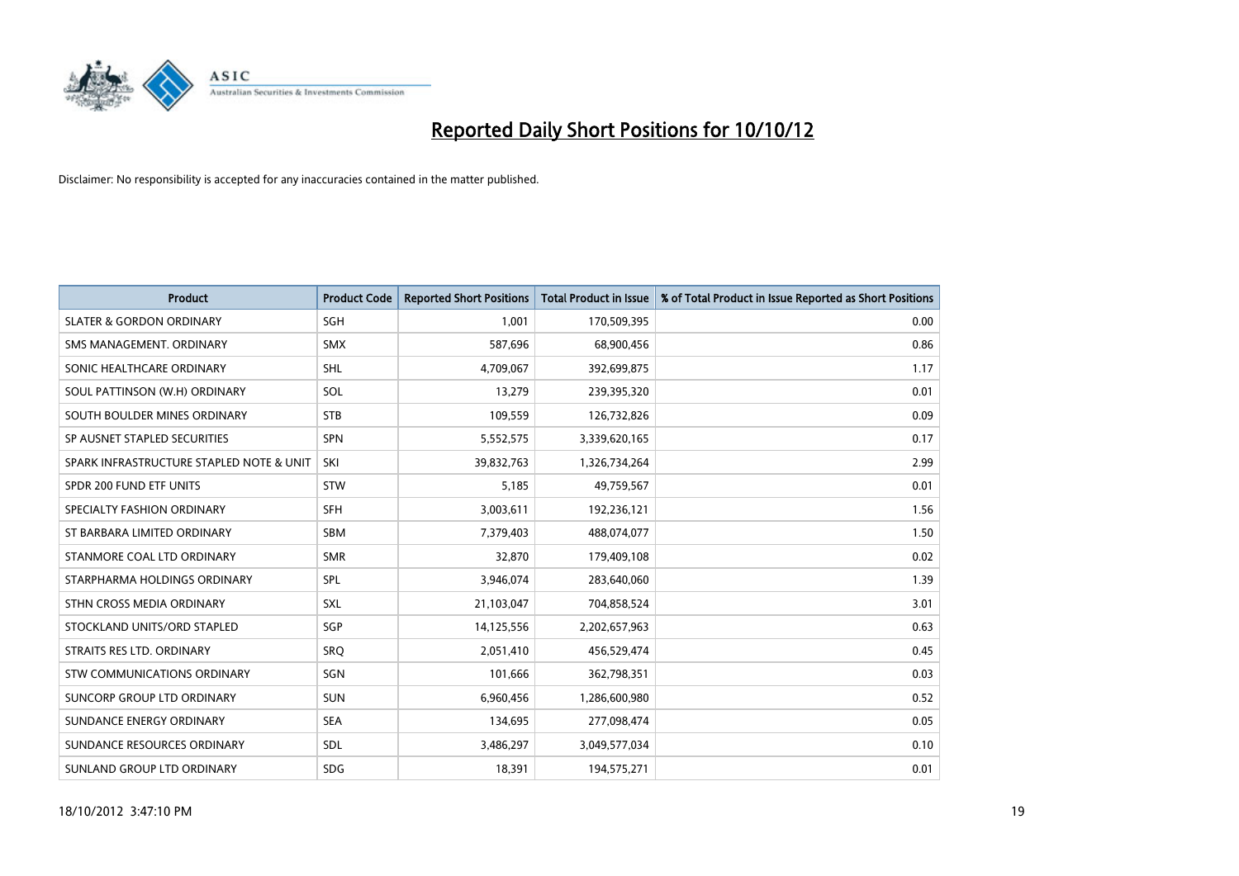

| <b>Product</b>                           | <b>Product Code</b> | <b>Reported Short Positions</b> | <b>Total Product in Issue</b> | % of Total Product in Issue Reported as Short Positions |
|------------------------------------------|---------------------|---------------------------------|-------------------------------|---------------------------------------------------------|
| <b>SLATER &amp; GORDON ORDINARY</b>      | <b>SGH</b>          | 1,001                           | 170,509,395                   | 0.00                                                    |
| SMS MANAGEMENT. ORDINARY                 | <b>SMX</b>          | 587,696                         | 68,900,456                    | 0.86                                                    |
| SONIC HEALTHCARE ORDINARY                | <b>SHL</b>          | 4,709,067                       | 392,699,875                   | 1.17                                                    |
| SOUL PATTINSON (W.H) ORDINARY            | SOL                 | 13,279                          | 239,395,320                   | 0.01                                                    |
| SOUTH BOULDER MINES ORDINARY             | <b>STB</b>          | 109,559                         | 126,732,826                   | 0.09                                                    |
| SP AUSNET STAPLED SECURITIES             | <b>SPN</b>          | 5,552,575                       | 3,339,620,165                 | 0.17                                                    |
| SPARK INFRASTRUCTURE STAPLED NOTE & UNIT | SKI                 | 39,832,763                      | 1,326,734,264                 | 2.99                                                    |
| SPDR 200 FUND ETF UNITS                  | <b>STW</b>          | 5,185                           | 49,759,567                    | 0.01                                                    |
| SPECIALTY FASHION ORDINARY               | <b>SFH</b>          | 3,003,611                       | 192,236,121                   | 1.56                                                    |
| ST BARBARA LIMITED ORDINARY              | <b>SBM</b>          | 7,379,403                       | 488,074,077                   | 1.50                                                    |
| STANMORE COAL LTD ORDINARY               | <b>SMR</b>          | 32,870                          | 179,409,108                   | 0.02                                                    |
| STARPHARMA HOLDINGS ORDINARY             | <b>SPL</b>          | 3,946,074                       | 283,640,060                   | 1.39                                                    |
| STHN CROSS MEDIA ORDINARY                | <b>SXL</b>          | 21,103,047                      | 704,858,524                   | 3.01                                                    |
| STOCKLAND UNITS/ORD STAPLED              | <b>SGP</b>          | 14,125,556                      | 2,202,657,963                 | 0.63                                                    |
| STRAITS RES LTD. ORDINARY                | SRQ                 | 2,051,410                       | 456,529,474                   | 0.45                                                    |
| <b>STW COMMUNICATIONS ORDINARY</b>       | SGN                 | 101,666                         | 362,798,351                   | 0.03                                                    |
| SUNCORP GROUP LTD ORDINARY               | <b>SUN</b>          | 6,960,456                       | 1,286,600,980                 | 0.52                                                    |
| SUNDANCE ENERGY ORDINARY                 | <b>SEA</b>          | 134,695                         | 277,098,474                   | 0.05                                                    |
| SUNDANCE RESOURCES ORDINARY              | <b>SDL</b>          | 3,486,297                       | 3,049,577,034                 | 0.10                                                    |
| SUNLAND GROUP LTD ORDINARY               | <b>SDG</b>          | 18,391                          | 194,575,271                   | 0.01                                                    |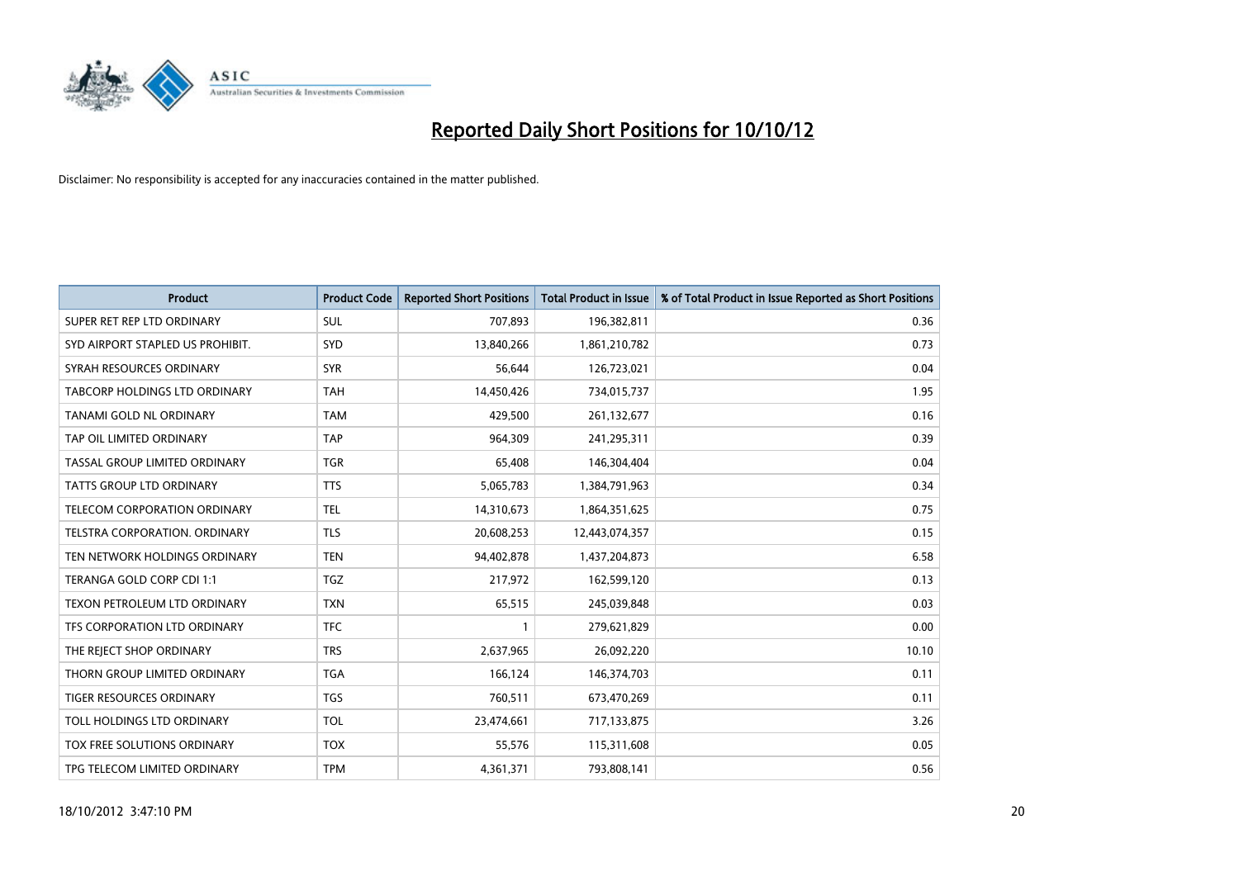

| <b>Product</b>                       | <b>Product Code</b> | <b>Reported Short Positions</b> | <b>Total Product in Issue</b> | % of Total Product in Issue Reported as Short Positions |
|--------------------------------------|---------------------|---------------------------------|-------------------------------|---------------------------------------------------------|
| SUPER RET REP LTD ORDINARY           | <b>SUL</b>          | 707,893                         | 196,382,811                   | 0.36                                                    |
| SYD AIRPORT STAPLED US PROHIBIT.     | SYD                 | 13,840,266                      | 1,861,210,782                 | 0.73                                                    |
| SYRAH RESOURCES ORDINARY             | <b>SYR</b>          | 56,644                          | 126,723,021                   | 0.04                                                    |
| TABCORP HOLDINGS LTD ORDINARY        | <b>TAH</b>          | 14,450,426                      | 734,015,737                   | 1.95                                                    |
| TANAMI GOLD NL ORDINARY              | <b>TAM</b>          | 429.500                         | 261,132,677                   | 0.16                                                    |
| TAP OIL LIMITED ORDINARY             | <b>TAP</b>          | 964,309                         | 241,295,311                   | 0.39                                                    |
| TASSAL GROUP LIMITED ORDINARY        | <b>TGR</b>          | 65.408                          | 146,304,404                   | 0.04                                                    |
| <b>TATTS GROUP LTD ORDINARY</b>      | <b>TTS</b>          | 5,065,783                       | 1,384,791,963                 | 0.34                                                    |
| TELECOM CORPORATION ORDINARY         | <b>TEL</b>          | 14,310,673                      | 1,864,351,625                 | 0.75                                                    |
| <b>TELSTRA CORPORATION, ORDINARY</b> | <b>TLS</b>          | 20,608,253                      | 12,443,074,357                | 0.15                                                    |
| TEN NETWORK HOLDINGS ORDINARY        | <b>TEN</b>          | 94,402,878                      | 1,437,204,873                 | 6.58                                                    |
| TERANGA GOLD CORP CDI 1:1            | <b>TGZ</b>          | 217,972                         | 162,599,120                   | 0.13                                                    |
| TEXON PETROLEUM LTD ORDINARY         | <b>TXN</b>          | 65,515                          | 245,039,848                   | 0.03                                                    |
| TFS CORPORATION LTD ORDINARY         | <b>TFC</b>          |                                 | 279,621,829                   | 0.00                                                    |
| THE REJECT SHOP ORDINARY             | <b>TRS</b>          | 2,637,965                       | 26,092,220                    | 10.10                                                   |
| THORN GROUP LIMITED ORDINARY         | <b>TGA</b>          | 166,124                         | 146,374,703                   | 0.11                                                    |
| <b>TIGER RESOURCES ORDINARY</b>      | <b>TGS</b>          | 760,511                         | 673,470,269                   | 0.11                                                    |
| TOLL HOLDINGS LTD ORDINARY           | <b>TOL</b>          | 23,474,661                      | 717,133,875                   | 3.26                                                    |
| TOX FREE SOLUTIONS ORDINARY          | <b>TOX</b>          | 55,576                          | 115,311,608                   | 0.05                                                    |
| TPG TELECOM LIMITED ORDINARY         | <b>TPM</b>          | 4,361,371                       | 793,808,141                   | 0.56                                                    |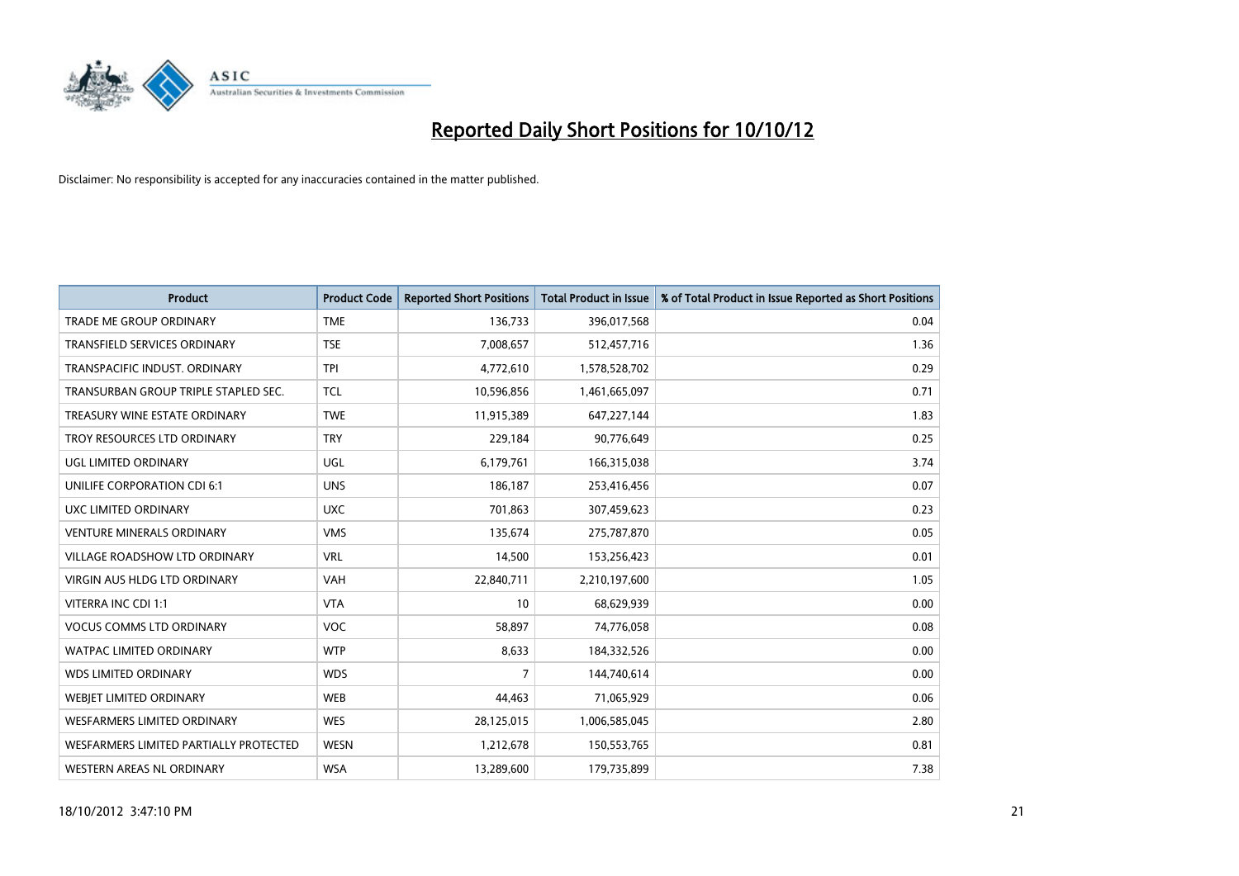

| <b>Product</b>                         | <b>Product Code</b> | <b>Reported Short Positions</b> | <b>Total Product in Issue</b> | % of Total Product in Issue Reported as Short Positions |
|----------------------------------------|---------------------|---------------------------------|-------------------------------|---------------------------------------------------------|
| <b>TRADE ME GROUP ORDINARY</b>         | <b>TME</b>          | 136,733                         | 396,017,568                   | 0.04                                                    |
| TRANSFIELD SERVICES ORDINARY           | <b>TSE</b>          | 7,008,657                       | 512,457,716                   | 1.36                                                    |
| TRANSPACIFIC INDUST, ORDINARY          | <b>TPI</b>          | 4,772,610                       | 1,578,528,702                 | 0.29                                                    |
| TRANSURBAN GROUP TRIPLE STAPLED SEC.   | <b>TCL</b>          | 10,596,856                      | 1,461,665,097                 | 0.71                                                    |
| TREASURY WINE ESTATE ORDINARY          | <b>TWE</b>          | 11,915,389                      | 647,227,144                   | 1.83                                                    |
| TROY RESOURCES LTD ORDINARY            | <b>TRY</b>          | 229,184                         | 90,776,649                    | 0.25                                                    |
| UGL LIMITED ORDINARY                   | UGL                 | 6,179,761                       | 166,315,038                   | 3.74                                                    |
| UNILIFE CORPORATION CDI 6:1            | <b>UNS</b>          | 186,187                         | 253,416,456                   | 0.07                                                    |
| <b>UXC LIMITED ORDINARY</b>            | <b>UXC</b>          | 701.863                         | 307,459,623                   | 0.23                                                    |
| <b>VENTURE MINERALS ORDINARY</b>       | <b>VMS</b>          | 135,674                         | 275,787,870                   | 0.05                                                    |
| VILLAGE ROADSHOW LTD ORDINARY          | <b>VRL</b>          | 14,500                          | 153,256,423                   | 0.01                                                    |
| <b>VIRGIN AUS HLDG LTD ORDINARY</b>    | <b>VAH</b>          | 22,840,711                      | 2,210,197,600                 | 1.05                                                    |
| VITERRA INC CDI 1:1                    | <b>VTA</b>          | 10                              | 68,629,939                    | 0.00                                                    |
| <b>VOCUS COMMS LTD ORDINARY</b>        | <b>VOC</b>          | 58,897                          | 74,776,058                    | 0.08                                                    |
| <b>WATPAC LIMITED ORDINARY</b>         | <b>WTP</b>          | 8,633                           | 184,332,526                   | 0.00                                                    |
| <b>WDS LIMITED ORDINARY</b>            | <b>WDS</b>          | 7                               | 144,740,614                   | 0.00                                                    |
| WEBIET LIMITED ORDINARY                | <b>WEB</b>          | 44,463                          | 71,065,929                    | 0.06                                                    |
| <b>WESFARMERS LIMITED ORDINARY</b>     | <b>WES</b>          | 28,125,015                      | 1,006,585,045                 | 2.80                                                    |
| WESFARMERS LIMITED PARTIALLY PROTECTED | <b>WESN</b>         | 1,212,678                       | 150,553,765                   | 0.81                                                    |
| WESTERN AREAS NL ORDINARY              | <b>WSA</b>          | 13,289,600                      | 179,735,899                   | 7.38                                                    |